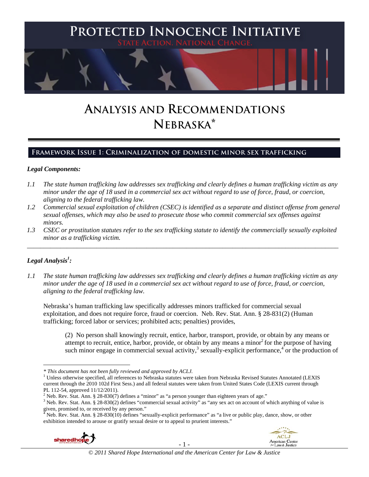

# **ANALYSIS AND RECOMMENDATIONS NEBRASKA\***

# **Framework Issue 1: Criminalization of domestic minor sex trafficking**

#### *Legal Components:*

- *1.1 The state human trafficking law addresses sex trafficking and clearly defines a human trafficking victim as any minor under the age of 18 used in a commercial sex act without regard to use of force, fraud, or coercion, aligning to the federal trafficking law.*
- *1.2 Commercial sexual exploitation of children (CSEC) is identified as a separate and distinct offense from general sexual offenses, which may also be used to prosecute those who commit commercial sex offenses against minors.*
- *1.3 CSEC or prostitution statutes refer to the sex trafficking statute to identify the commercially sexually exploited minor as a trafficking victim.*  \_\_\_\_\_\_\_\_\_\_\_\_\_\_\_\_\_\_\_\_\_\_\_\_\_\_\_\_\_\_\_\_\_\_\_\_\_\_\_\_\_\_\_\_\_\_\_\_\_\_\_\_\_\_\_\_\_\_\_\_\_\_\_\_\_\_\_\_\_\_\_\_\_\_\_\_\_\_\_\_\_\_\_\_\_\_\_\_\_\_\_\_\_\_

# *Legal Analysis1 :*

*1.1 The state human trafficking law addresses sex trafficking and clearly defines a human trafficking victim as any minor under the age of 18 used in a commercial sex act without regard to use of force, fraud, or coercion, aligning to the federal trafficking law.*

Nebraska's human trafficking law specifically addresses minors trafficked for commercial sexual exploitation, and does not require force, fraud or coercion. Neb. Rev. Stat. Ann. § 28-831(2) (Human trafficking; forced labor or services; prohibited acts; penalties) provides,

(2) No person shall knowingly recruit, entice, harbor, transport, provide, or obtain by any means or attempt to recruit, entice, harbor, provide, or obtain by any means a minor<sup>2</sup> for the purpose of having such minor engage in commercial sexual activity,<sup>3</sup> sexually-explicit performance,<sup>4</sup> or the production of

Neb. Rev. Stat. Ann. § 28-830(10) defines "sexually-explicit performance" as "a live or public play, dance, show, or other exhibition intended to arouse or gratify sexual desire or to appeal to prurient interests."



 *\* This document has not been fully reviewed and approved by ACLJ.* <sup>1</sup>

<sup>&</sup>lt;sup>1</sup> Unless otherwise specified, all references to Nebraska statutes were taken from Nebraska Revised Statutes Annotated (LEXIS current through the 2010 102d First Sess.) and all federal statutes were taken from United States Code (LEXIS current through PL 112-54, approved 11/12/2011).

<sup>&</sup>lt;sup>2</sup> Neb. Rev. Stat. Ann. § 28-830(7) defines a "minor" as "a person younger than eighteen years of age."<br><sup>3</sup> Neb. Bey. Stat. Ann. § 28, 820(2) defines "commercial cavual estimity" as "any sex ast on aggenut of u

<sup>&</sup>lt;sup>3</sup> Neb. Rev. Stat. Ann. § 28-830(2) defines "commercial sexual activity" as "any sex act on account of which anything of value is given, promised to, or received by any person."<br> $\frac{4}{3}$  Neb Berri fit is the second set of the second set of the set of the second set of the second set of the set of the set of the set of the set of the set of the set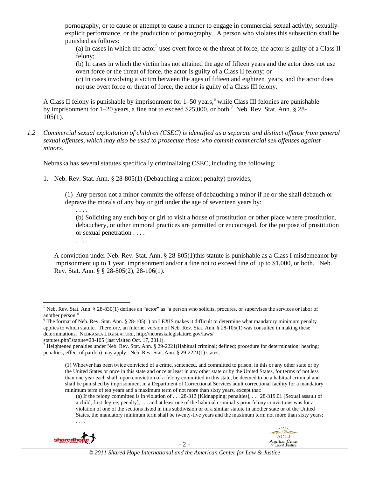pornography, or to cause or attempt to cause a minor to engage in commercial sexual activity, sexuallyexplicit performance, or the production of pornography. A person who violates this subsection shall be punished as follows:

(a) In cases in which the actor<sup>5</sup> uses overt force or the threat of force, the actor is guilty of a Class II felony;

(b) In cases in which the victim has not attained the age of fifteen years and the actor does not use overt force or the threat of force, the actor is guilty of a Class II felony; or

(c) In cases involving a victim between the ages of fifteen and eighteen years, and the actor does not use overt force or threat of force, the actor is guilty of a Class III felony.

A Class II felony is punishable by imprisonment for  $1-50$  years,<sup>6</sup> while Class III felonies are punishable by imprisonment for  $1-20$  years, a fine not to exceed \$25,000, or both.<sup>7</sup> Neb. Rev. Stat. Ann. § 28- $105(1)$ .

*1.2 Commercial sexual exploitation of children (CSEC) is identified as a separate and distinct offense from general sexual offenses, which may also be used to prosecute those who commit commercial sex offenses against minors.*

Nebraska has several statutes specifically criminalizing CSEC, including the following:

1. Neb. Rev. Stat. Ann. § 28-805(1) (Debauching a minor; penalty) provides,

(1) Any person not a minor commits the offense of debauching a minor if he or she shall debauch or deprave the morals of any boy or girl under the age of seventeen years by:

. . . . (b) Soliciting any such boy or girl to visit a house of prostitution or other place where prostitution, debauchery, or other immoral practices are permitted or encouraged, for the purpose of prostitution or sexual penetration . . . .

. . . .

A conviction under Neb. Rev. Stat. Ann. § 28-805(1)this statute is punishable as a Class I misdemeanor by imprisonment up to 1 year, imprisonment and/or a fine not to exceed fine of up to \$1,000, or both. Neb. Rev. Stat. Ann. § § 28-805(2), 28-106(1).

statutes.php?statute=28-105 (last visited Oct. 17, 2011).

<sup>(</sup>a) If the felony committed is in violation of . . . 28-313 [Kidnapping; penalties], . . . 28-319.01 [Sexual assault of a child; first degree; penalty], . . . and at least one of the habitual criminal's prior felony convictions was for a violation of one of the sections listed in this subdivision or of a similar statute in another state or of the United States, the mandatory minimum term shall be twenty-five years and the maximum term not more than sixty years; . . . .





<sup>&</sup>lt;sup>5</sup> Neb. Rev. Stat. Ann. § 28-830(1) defines an "actor" as "a person who solicits, procures, or supervises the services or labor of another person."<br><sup>6</sup> The format of Neb. Rev. Stat. Ann. § 28-105(1) on LEXIS makes it difficult to determine what mandatory minimum penalty

applies to which statute. Therefore, an Internet version of Neb. Rev. Stat. Ann. § 28-105(1) was consulted in making these determinations. NEBRASKA LEGISLATURE, http://nebraskalegislature.gov/laws/

 $^7$  Heightened penalties under Neb. Rev. Stat. Ann. § 29-2221(Habitual criminal; defined; procedure for determination; hearing; penalties; effect of pardon) may apply. Neb. Rev. Stat. Ann. § 29-2221(1) states,

<sup>(1)</sup> Whoever has been twice convicted of a crime, sentenced, and committed to prison, in this or any other state or by the United States or once in this state and once at least in any other state or by the United States, for terms of not less than one year each shall, upon conviction of a felony committed in this state, be deemed to be a habitual criminal and shall be punished by imprisonment in a Department of Correctional Services adult correctional facility for a mandatory minimum term of ten years and a maximum term of not more than sixty years, except that: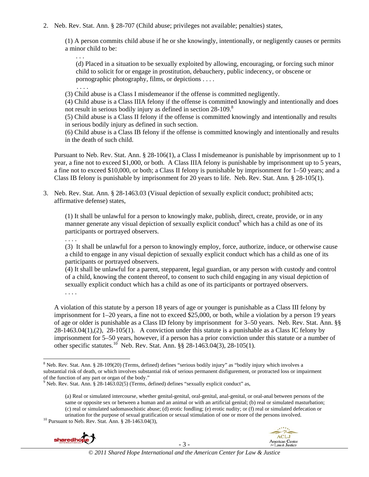2. Neb. Rev. Stat. Ann. § 28-707 (Child abuse; privileges not available; penalties) states,

(1) A person commits child abuse if he or she knowingly, intentionally, or negligently causes or permits a minor child to be:

. . . (d) Placed in a situation to be sexually exploited by allowing, encouraging, or forcing such minor child to solicit for or engage in prostitution, debauchery, public indecency, or obscene or pornographic photography, films, or depictions . . . .

 . . . . (3) Child abuse is a Class I misdemeanor if the offense is committed negligently.

(4) Child abuse is a Class IIIA felony if the offense is committed knowingly and intentionally and does not result in serious bodily injury as defined in section 28-109.<sup>8</sup>

(5) Child abuse is a Class II felony if the offense is committed knowingly and intentionally and results in serious bodily injury as defined in such section.

(6) Child abuse is a Class IB felony if the offense is committed knowingly and intentionally and results in the death of such child.

Pursuant to Neb. Rev. Stat. Ann. § 28-106(1), a Class I misdemeanor is punishable by imprisonment up to 1 year, a fine not to exceed \$1,000, or both. A Class IIIA felony is punishable by imprisonment up to 5 years, a fine not to exceed \$10,000, or both; a Class II felony is punishable by imprisonment for 1–50 years; and a Class IB felony is punishable by imprisonment for 20 years to life. Neb. Rev. Stat. Ann. § 28-105(1).

3. Neb. Rev. Stat. Ann. § 28-1463.03 (Visual depiction of sexually explicit conduct; prohibited acts; affirmative defense) states,

(1) It shall be unlawful for a person to knowingly make, publish, direct, create, provide, or in any manner generate any visual depiction of sexually explicit conduct<sup>9</sup> which has a child as one of its participants or portrayed observers.

. . . .

(3) It shall be unlawful for a person to knowingly employ, force, authorize, induce, or otherwise cause a child to engage in any visual depiction of sexually explicit conduct which has a child as one of its participants or portrayed observers.

(4) It shall be unlawful for a parent, stepparent, legal guardian, or any person with custody and control of a child, knowing the content thereof, to consent to such child engaging in any visual depiction of sexually explicit conduct which has a child as one of its participants or portrayed observers. . . . .

A violation of this statute by a person 18 years of age or younger is punishable as a Class III felony by imprisonment for 1–20 years, a fine not to exceed \$25,000, or both, while a violation by a person 19 years of age or older is punishable as a Class ID felony by imprisonment for 3–50 years. Neb. Rev. Stat. Ann. §§ 28-1463.04(1),(2), 28-105(1). A conviction under this statute is a punishable as a Class IC felony by imprisonment for 5–50 years, however, if a person has a prior conviction under this statute or a number of other specific statutes.<sup>10</sup> Neb. Rev. Stat. Ann. §§ 28-1463.04(3), 28-105(1).

<sup>(</sup>a) Real or simulated intercourse, whether genital-genital, oral-genital, anal-genital, or oral-anal between persons of the same or opposite sex or between a human and an animal or with an artificial genital; (b) real or simulated masturbation; (c) real or simulated sadomasochistic abuse; (d) erotic fondling; (e) erotic nudity; or (f) real or simulated defecation or urination for the purpose of sexual gratification or sexual stimulation of one or more of the persons involved.<br><sup>10</sup> Pursuant to Neb. Rev. Stat. Ann. § 28-1463.04(3),





 <sup>8</sup> Neb. Rev. Stat. Ann. § 28-109(20) (Terms, defined) defines "serious bodily injury" as "bodily injury which involves a substantial risk of death, or which involves substantial risk of serious permanent disfigurement, or protracted loss or impairment of the function of any part or organ of the body."

<sup>&</sup>lt;sup>9</sup> Neb. Rev. Stat. Ann. § 28-1463.02(5) (Terms, defined) defines "sexually explicit conduct" as,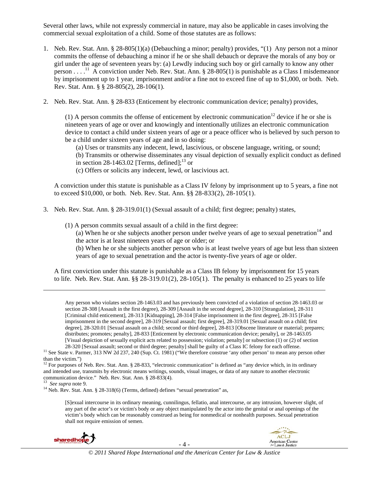Several other laws, while not expressly commercial in nature, may also be applicable in cases involving the commercial sexual exploitation of a child. Some of those statutes are as follows:

- 1. Neb. Rev. Stat. Ann. § 28-805(1)(a) (Debauching a minor; penalty) provides, "(1) Any person not a minor commits the offense of debauching a minor if he or she shall debauch or deprave the morals of any boy or girl under the age of seventeen years by: (a) Lewdly inducing such boy or girl carnally to know any other person . . . .<sup>11</sup> A conviction under Neb. Rev. Stat. Ann. § 28-805(1) is punishable as a Class I misdemeanor by imprisonment up to 1 year, imprisonment and/or a fine not to exceed fine of up to \$1,000, or both. Neb. Rev. Stat. Ann. § § 28-805(2), 28-106(1).
- 2. Neb. Rev. Stat. Ann. § 28-833 (Enticement by electronic communication device; penalty) provides,

(1) A person commits the offense of enticement by electronic communication<sup>12</sup> device if he or she is nineteen years of age or over and knowingly and intentionally utilizes an electronic communication device to contact a child under sixteen years of age or a peace officer who is believed by such person to be a child under sixteen years of age and in so doing:

(a) Uses or transmits any indecent, lewd, lascivious, or obscene language, writing, or sound;

(b) Transmits or otherwise disseminates any visual depiction of sexually explicit conduct as defined in section 28-1463.02 [Terms, defined]; $^{13}$  or

(c) Offers or solicits any indecent, lewd, or lascivious act.

A conviction under this statute is punishable as a Class IV felony by imprisonment up to 5 years, a fine not to exceed \$10,000, or both. Neb. Rev. Stat. Ann. §§ 28-833(2), 28-105(1).

- 3. Neb. Rev. Stat. Ann. § 28-319.01(1) (Sexual assault of a child; first degree; penalty) states,
	- (1) A person commits sexual assault of a child in the first degree:

(a) When he or she subjects another person under twelve years of age to sexual penetration<sup>14</sup> and the actor is at least nineteen years of age or older; or

(b) When he or she subjects another person who is at least twelve years of age but less than sixteen years of age to sexual penetration and the actor is twenty-five years of age or older.

A first conviction under this statute is punishable as a Class IB felony by imprisonment for 15 years to life. Neb. Rev. Stat. Ann.  $\S$ § 28-319.01(2), 28-105(1). The penalty is enhanced to 25 years to life

<u> Andrewski politika (za obrazu pod predsjednika u predsjednika u predsjednika u predsjednika (za obrazu pod p</u>

Any person who violates section 28-1463.03 and has previously been convicted of a violation of section 28-1463.03 or section 28-308 [Assault in the first degree), 28-309 [Assault in the second degree], 28-310 [Strangulation], 28-311 [Criminal child enticement], 28-313 [Kidnapping], 28-314 [False imprisonment in the first degree], 28-315 [False imprisonment in the second degree], 28-319 [Sexual assault; first degree], 28-319.01 [Sexual assault on a child; first degree], 28-320.01 [Sexual assault on a child; second or third degree], 28-813 [Obscene literature or material; prepares; distributes; promotes; penalty], 28-833 [Enticement by electronic communication device; penalty], or 28-1463.05 [Visual depiction of sexually explicit acts related to possession; violation; penalty] or subsection (1) or (2) of section

<sup>[</sup>S]exual intercourse in its ordinary meaning, cunnilingus, fellatio, anal intercourse, or any intrusion, however slight, of any part of the actor's or victim's body or any object manipulated by the actor into the genital or anal openings of the victim's body which can be reasonably construed as being for nonmedical or nonhealth purposes. Sexual penetration shall not require emission of semen.



<sup>28-320 [</sup>Sexual assault; second or third degree; penalty] shall be guilty of a Class IC felony for each offense.<br><sup>11</sup> See State v. Parmer, 313 NW 2d 237, 240 (Sup. Ct. 1981) ("We therefore construe 'any other person' to mea than the victim.")

<sup>&</sup>lt;sup>12</sup> For purposes of Neb. Rev. Stat. Ann. § 28-833, "electronic communication" is defined as "any device which, in its ordinary and intended use, transmits by electronic means writings, sounds, visual images, or data of any nature to another electronic communication device." Neb. Rev. Stat. Ann. § 28-833(4).<br><sup>13</sup> *See supra* note 9.<br><sup>14</sup> Neb. Rev. Stat. Ann. § 28-318(6) (Terms, defined) defines "sexual penetration" as,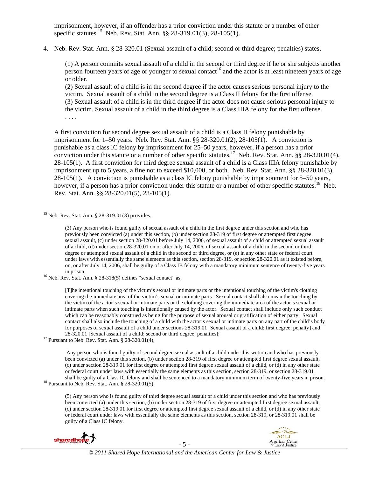imprisonment, however, if an offender has a prior conviction under this statute or a number of other specific statutes.<sup>15</sup> Neb. Rev. Stat. Ann. §§ 28-319.01(3), 28-105(1).

4. Neb. Rev. Stat. Ann. § 28-320.01 (Sexual assault of a child; second or third degree; penalties) states,

(1) A person commits sexual assault of a child in the second or third degree if he or she subjects another person fourteen years of age or younger to sexual contact<sup>16</sup> and the actor is at least nineteen years of age or older.

(2) Sexual assault of a child is in the second degree if the actor causes serious personal injury to the victim. Sexual assault of a child in the second degree is a Class II felony for the first offense. (3) Sexual assault of a child is in the third degree if the actor does not cause serious personal injury to the victim. Sexual assault of a child in the third degree is a Class IIIA felony for the first offense.

A first conviction for second degree sexual assault of a child is a Class II felony punishable by imprisonment for  $1-50$  years. Neb. Rev. Stat. Ann. §§  $28-320.01(2)$ ,  $28-105(1)$ . A conviction is punishable as a class IC felony by imprisonment for 25–50 years, however, if a person has a prior conviction under this statute or a number of other specific statutes.<sup>17</sup> Neb. Rev. Stat. Ann. §§ 28-320.01(4), 28-105(1). A first conviction for third degree sexual assault of a child is a Class IIIA felony punishable by imprisonment up to 5 years, a fine not to exceed \$10,000, or both. Neb. Rev. Stat. Ann. §§ 28-320.01(3), 28-105(1). A conviction is punishable as a class IC felony punishable by imprisonment for 5–50 years, however, if a person has a prior conviction under this statute or a number of other specific statutes.<sup>18</sup> Neb. Rev. Stat. Ann. §§ 28-320.01(5), 28-105(1).

. . . .

in prison. 16 Neb. Rev. Stat. Ann. § 28-318(5) defines "sexual contact" as,

[T]he intentional touching of the victim's sexual or intimate parts or the intentional touching of the victim's clothing covering the immediate area of the victim's sexual or intimate parts. Sexual contact shall also mean the touching by the victim of the actor's sexual or intimate parts or the clothing covering the immediate area of the actor's sexual or intimate parts when such touching is intentionally caused by the actor. Sexual contact shall include only such conduct which can be reasonably construed as being for the purpose of sexual arousal or gratification of either party. Sexual contact shall also include the touching of a child with the actor's sexual or intimate parts on any part of the child's body for purposes of sexual assault of a child under sections 28-319.01 [Sexual assault of a child; first degree; penalty] and 28-320.01 [Sexual assault of a child; second or third degree; penalties]; 17 Pursuant to Neb. Rev. Stat. Ann. § 28-320.01(4),

 Any person who is found guilty of second degree sexual assault of a child under this section and who has previously been convicted (a) under this section, (b) under section 28-319 of first degree or attempted first degree sexual assault, (c) under section 28-319.01 for first degree or attempted first degree sexual assault of a child, or (d) in any other state or federal court under laws with essentially the same elements as this section, section 28-319, or section 28-319.01 shall be guilty of a Class IC felony and shall be sentenced to a mandatory minimum term of twenty-five years in prison. <sup>18</sup> Pursuant to Neb. Rev. Stat. Ann. § 28-320.01(5),

(5) Any person who is found guilty of third degree sexual assault of a child under this section and who has previously been convicted (a) under this section, (b) under section 28-319 of first degree or attempted first degree sexual assault, (c) under section 28-319.01 for first degree or attempted first degree sexual assault of a child, or (d) in any other state or federal court under laws with essentially the same elements as this section, section 28-319, or 28-319.01 shall be guilty of a Class IC felony.



 <sup>15</sup> Neb. Rev. Stat. Ann.  $\S$  28-319.01(3) provides,

<sup>(3)</sup> Any person who is found guilty of sexual assault of a child in the first degree under this section and who has previously been convicted (a) under this section, (b) under section 28-319 of first degree or attempted first degree sexual assault, (c) under section 28-320.01 before July 14, 2006, of sexual assault of a child or attempted sexual assault of a child, (d) under section 28-320.01 on or after July 14, 2006, of sexual assault of a child in the second or third degree or attempted sexual assault of a child in the second or third degree, or (e) in any other state or federal court under laws with essentially the same elements as this section, section 28-319, or section 28-320.01 as it existed before, on, or after July 14, 2006, shall be guilty of a Class IB felony with a mandatory minimum sentence of twenty-five years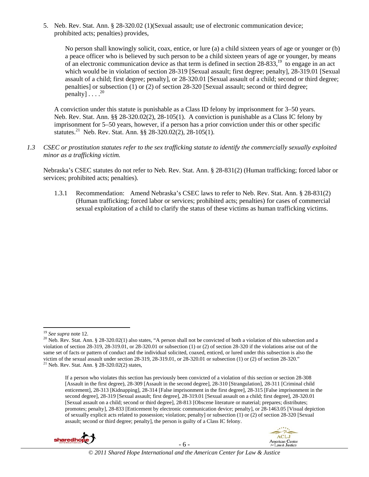5. Neb. Rev. Stat. Ann. § 28-320.02 (1)(Sexual assault; use of electronic communication device; prohibited acts; penalties) provides,

No person shall knowingly solicit, coax, entice, or lure (a) a child sixteen years of age or younger or (b) a peace officer who is believed by such person to be a child sixteen years of age or younger, by means of an electronic communication device as that term is defined in section 28-833,19 to engage in an act which would be in violation of section 28-319 [Sexual assault; first degree; penalty], 28-319.01 [Sexual assault of a child; first degree; penalty], or 28-320.01 [Sexual assault of a child; second or third degree; penalties] or subsection (1) or (2) of section 28-320 [Sexual assault; second or third degree; penalty]... $^{20}$ 

A conviction under this statute is punishable as a Class ID felony by imprisonment for 3–50 years. Neb. Rev. Stat. Ann. §§ 28-320.02(2), 28-105(1). A conviction is punishable as a Class IC felony by imprisonment for 5–50 years, however, if a person has a prior conviction under this or other specific statutes.<sup>21</sup> Neb. Rev. Stat. Ann. §§ 28-320.02(2), 28-105(1).

*1.3 CSEC or prostitution statutes refer to the sex trafficking statute to identify the commercially sexually exploited minor as a trafficking victim.*

Nebraska's CSEC statutes do not refer to Neb. Rev. Stat. Ann. § 28-831(2) (Human trafficking; forced labor or services; prohibited acts; penalties).

1.3.1 Recommendation: Amend Nebraska's CSEC laws to refer to Neb. Rev. Stat. Ann. § 28-831(2) (Human trafficking; forced labor or services; prohibited acts; penalties) for cases of commercial sexual exploitation of a child to clarify the status of these victims as human trafficking victims.

If a person who violates this section has previously been convicted of a violation of this section or section 28-308 [Assault in the first degree), 28-309 [Assault in the second degree], 28-310 [Strangulation], 28-311 [Criminal child enticement], 28-313 [Kidnapping], 28-314 [False imprisonment in the first degree], 28-315 [False imprisonment in the second degree], 28-319 [Sexual assault; first degree], 28-319.01 [Sexual assault on a child; first degree], 28-320.01 [Sexual assault on a child; second or third degree], 28-813 [Obscene literature or material; prepares; distributes; promotes; penalty], 28-833 [Enticement by electronic communication device; penalty], or 28-1463.05 [Visual depiction of sexually explicit acts related to possession; violation; penalty] or subsection (1) or (2) of section 28-320 [Sexual assault; second or third degree; penalty], the person is guilty of a Class IC felony.



<sup>&</sup>lt;sup>19</sup> *See supra* note 12.<br><sup>20</sup> Neb. Rev. Stat. Ann. § 28-320.02(1) also states, "A person shall not be convicted of both a violation of this subsection and a violation of section 28-319, 28-319.01, or 28-320.01 or subsection (1) or (2) of section 28-320 if the violations arise out of the same set of facts or pattern of conduct and the individual solicited, coaxed, enticed, or lured under this subsection is also the victim of the sexual assault under section 28-319, 28-319.01, or 28-320.01 or subsection (1) or (2) of section 28-320."<br><sup>21</sup> Neb. Rev. Stat. Ann. § 28-320.02(2) states,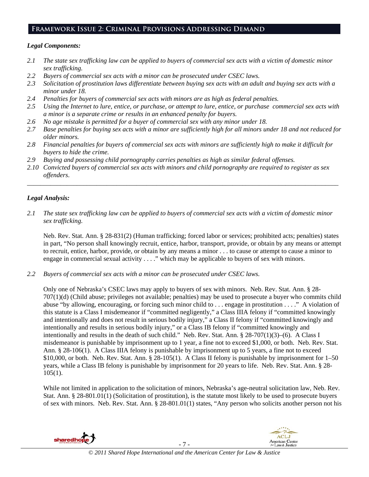# **Framework Issue 2: Criminal Provisions Addressing Demand**

#### *Legal Components:*

- *2.1 The state sex trafficking law can be applied to buyers of commercial sex acts with a victim of domestic minor sex trafficking.*
- *2.2 Buyers of commercial sex acts with a minor can be prosecuted under CSEC laws.*
- *2.3 Solicitation of prostitution laws differentiate between buying sex acts with an adult and buying sex acts with a minor under 18.*
- *2.4 Penalties for buyers of commercial sex acts with minors are as high as federal penalties.*
- *2.5 Using the Internet to lure, entice, or purchase, or attempt to lure, entice, or purchase commercial sex acts with a minor is a separate crime or results in an enhanced penalty for buyers.*
- *2.6 No age mistake is permitted for a buyer of commercial sex with any minor under 18.*
- *2.7 Base penalties for buying sex acts with a minor are sufficiently high for all minors under 18 and not reduced for older minors.*
- *2.8 Financial penalties for buyers of commercial sex acts with minors are sufficiently high to make it difficult for buyers to hide the crime.*
- *2.9 Buying and possessing child pornography carries penalties as high as similar federal offenses.*
- *2.10 Convicted buyers of commercial sex acts with minors and child pornography are required to register as sex offenders*.

\_\_\_\_\_\_\_\_\_\_\_\_\_\_\_\_\_\_\_\_\_\_\_\_\_\_\_\_\_\_\_\_\_\_\_\_\_\_\_\_\_\_\_\_\_\_\_\_\_\_\_\_\_\_\_\_\_\_\_\_\_\_\_\_\_\_\_\_\_\_\_\_\_\_\_\_\_\_\_\_\_\_\_\_\_\_\_\_\_\_\_\_\_\_

# *Legal Analysis:*

*2.1 The state sex trafficking law can be applied to buyers of commercial sex acts with a victim of domestic minor sex trafficking.*

Neb. Rev. Stat. Ann. § 28-831(2) (Human trafficking; forced labor or services; prohibited acts; penalties) states in part, "No person shall knowingly recruit, entice, harbor, transport, provide, or obtain by any means or attempt to recruit, entice, harbor, provide, or obtain by any means a minor . . . to cause or attempt to cause a minor to engage in commercial sexual activity . . . ." which may be applicable to buyers of sex with minors.

*2.2 Buyers of commercial sex acts with a minor can be prosecuted under CSEC laws.* 

Only one of Nebraska's CSEC laws may apply to buyers of sex with minors. Neb. Rev. Stat. Ann. § 28- 707(1)(d) (Child abuse; privileges not available; penalties) may be used to prosecute a buyer who commits child abuse "by allowing, encouraging, or forcing such minor child to . . . engage in prostitution . . . ." A violation of this statute is a Class I misdemeanor if "committed negligently," a Class IIIA felony if "committed knowingly and intentionally and does not result in serious bodily injury," a Class II felony if "committed knowingly and intentionally and results in serious bodily injury," or a Class IB felony if "committed knowingly and intentionally and results in the death of such child." Neb. Rev. Stat. Ann. § 28-707(1)(3)–(6). A Class I misdemeanor is punishable by imprisonment up to 1 year, a fine not to exceed \$1,000, or both. Neb. Rev. Stat. Ann. § 28-106(1). A Class IIIA felony is punishable by imprisonment up to 5 years, a fine not to exceed \$10,000, or both. Neb. Rev. Stat. Ann. § 28-105(1). A Class II felony is punishable by imprisonment for 1–50 years, while a Class IB felony is punishable by imprisonment for 20 years to life. Neb. Rev. Stat. Ann. § 28- 105(1).

While not limited in application to the solicitation of minors, Nebraska's age-neutral solicitation law, Neb. Rev. Stat. Ann. § 28-801.01(1) (Solicitation of prostitution), is the statute most likely to be used to prosecute buyers of sex with minors. Neb. Rev. Stat. Ann. § 28-801.01(1) states, "Any person who solicits another person not his

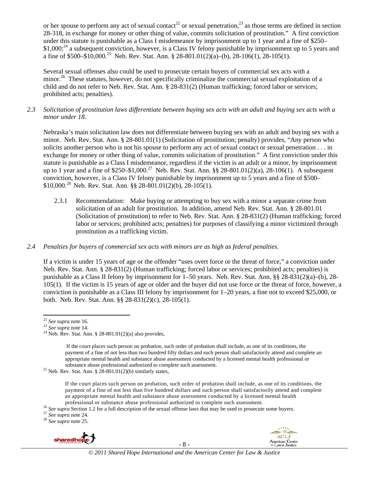or her spouse to perform any act of sexual contact<sup>22</sup> or sexual penetration,<sup>23</sup> as those terms are defined in section 28-318, in exchange for money or other thing of value, commits solicitation of prostitution." A first conviction under this statute is punishable as a Class I misdemeanor by imprisonment up to 1 year and a fine of \$250–  $$1,000;^{24}$  a subsequent conviction, however, is a Class IV felony punishable by imprisonment up to 5 years and a fine of \$500–\$10,000.<sup>25</sup> Neb. Rev. Stat. Ann. § 28-801.01(2)(a)–(b), 28-106(1), 28-105(1).

Several sexual offenses also could be used to prosecute certain buyers of commercial sex acts with a minor.<sup>26</sup> These statutes, however, do not specifically criminalize the commercial sexual exploitation of a child and do not refer to Neb. Rev. Stat. Ann. § 28-831(2) (Human trafficking; forced labor or services; prohibited acts; penalties).

*2.3 Solicitation of prostitution laws differentiate between buying sex acts with an adult and buying sex acts with a minor under 18.* 

Nebraska's main solicitation law does not differentiate between buying sex with an adult and buying sex with a minor. Neb. Rev. Stat. Ann. § 28-801.01(1) (Solicitation of prostitution; penalty) provides, "Any person who solicits another person who is not his spouse to perform any act of sexual contact or sexual penetration . . . in exchange for money or other thing of value, commits solicitation of prostitution." A first conviction under this statute is punishable as a Class I misdemeanor, regardless if the victim is an adult or a minor, by imprisonment up to 1 year and a fine of \$250–\$1,000.<sup>27</sup> Neb. Rev. Stat. Ann. §§ 28-801.01(2)(a), 28-106(1). A subsequent conviction, however, is a Class IV felony punishable by imprisonment up to 5 years and a fine of \$500– \$10,000.28 Neb. Rev. Stat. Ann. §§ 28-801.01(2)(b), 28-105(1).

- 2.3.1 Recommendation: Make buying or attempting to buy sex with a minor a separate crime from solicitation of an adult for prostitution. In addition, amend Neb. Rev. Stat. Ann. § 28-801.01 (Solicitation of prostitution) to refer to Neb. Rev. Stat. Ann. § 28-831(2) (Human trafficking; forced labor or services; prohibited acts; penalties) for purposes of classifying a minor victimized through prostitution as a trafficking victim.
- *2.4 Penalties for buyers of commercial sex acts with minors are as high as federal penalties.*

If a victim is under 15 years of age or the offender "uses overt force or the threat of force," a conviction under Neb. Rev. Stat. Ann. § 28-831(2) (Human trafficking; forced labor or services; prohibited acts; penalties) is punishable as a Class II felony by imprisonment for 1–50 years. Neb. Rev. Stat. Ann. §§ 28-831(2)(a)–(b), 28- 105(1). If the victim is 15 years of age or older and the buyer did not use force or the threat of force, however, a conviction is punishable as a Class III felony by imprisonment for 1–20 years, a fine not to exceed \$25,000, or both. Neb. Rev. Stat. Ann. §§ 28-831(2)(c), 28-105(1).



- 8 -



 $22$  See supra note 16.

<sup>22</sup> *See supra* note 16. <sup>23</sup> *See supra* note 14. 24 Neb. Rev. Stat. Ann. § 28-801.01(2)(a) also provides,

If the court places such person on probation, such order of probation shall include, as one of its conditions, the payment of a fine of not less than two hundred fifty dollars and such person shall satisfactorily attend and complete an appropriate mental health and substance abuse assessment conducted by a licensed mental health professional or substance abuse professional authorized to complete such assessment. 25 Neb. Rev. Stat. Ann. § 28-801.01(2)(b) similarly states,

If the court places such person on probation, such order of probation shall include, as one of its conditions, the payment of a fine of not less than five hundred dollars and such person shall satisfactorily attend and complete an appropriate mental health and substance abuse assessment conducted by a licensed mental health

professional or substance abuse professional authorized to complete such assessment.<br><sup>26</sup> See supra Section 1.2 for a full description of the sexual offense laws that may be used to prosecute some buyers.<br><sup>27</sup> See supra no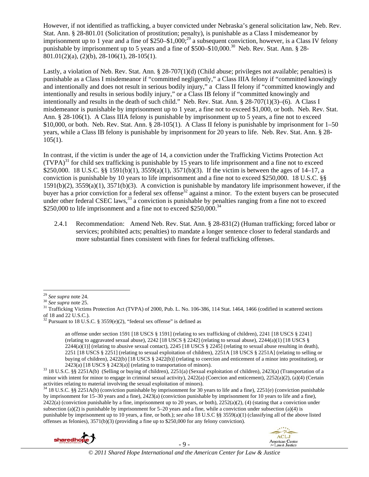However, if not identified as trafficking, a buyer convicted under Nebraska's general solicitation law, Neb. Rev. Stat. Ann. § 28-801.01 (Solicitation of prostitution; penalty), is punishable as a Class I misdemeanor by imprisonment up to 1 year and a fine of  $$250–$1,000;<sup>29</sup>$  a subsequent conviction, however, is a Class IV felony punishable by imprisonment up to 5 years and a fine of \$500–\$10,000.<sup>30</sup> Neb. Rev. Stat. Ann. § 28-801.01(2)(a), (2)(b), 28-106(1), 28-105(1).

Lastly, a violation of Neb. Rev. Stat. Ann. § 28-707(1)(d) (Child abuse; privileges not available; penalties) is punishable as a Class I misdemeanor if "committed negligently," a Class IIIA felony if "committed knowingly and intentionally and does not result in serious bodily injury," a Class II felony if "committed knowingly and intentionally and results in serious bodily injury," or a Class IB felony if "committed knowingly and intentionally and results in the death of such child." Neb. Rev. Stat. Ann. § 28-707(1)(3)–(6). A Class I misdemeanor is punishable by imprisonment up to 1 year, a fine not to exceed \$1,000, or both. Neb. Rev. Stat. Ann. § 28-106(1). A Class IIIA felony is punishable by imprisonment up to 5 years, a fine not to exceed \$10,000, or both. Neb. Rev. Stat. Ann. § 28-105(1). A Class II felony is punishable by imprisonment for 1–50 years, while a Class IB felony is punishable by imprisonment for 20 years to life. Neb. Rev. Stat. Ann. § 28-  $105(1)$ .

In contrast, if the victim is under the age of 14, a conviction under the Trafficking Victims Protection Act  $(TVPA)<sup>31</sup>$  for child sex trafficking is punishable by 15 years to life imprisonment and a fine not to exceed \$250,000. 18 U.S.C. §§ 1591(b)(1), 3559(a)(1), 3571(b)(3). If the victim is between the ages of 14–17, a conviction is punishable by 10 years to life imprisonment and a fine not to exceed \$250,000. 18 U.S.C. §§ 1591(b)(2), 3559(a)(1), 3571(b)(3). A conviction is punishable by mandatory life imprisonment however, if the buyer has a prior conviction for a federal sex offense<sup>32</sup> against a minor. To the extent buyers can be prosecuted under other federal CSEC laws,  $33$  a conviction is punishable by penalties ranging from a fine not to exceed \$250,000 to life imprisonment and a fine not to exceed \$250,000.<sup>34</sup>

2.4.1 Recommendation: Amend Neb. Rev. Stat. Ann. § 28-831(2) (Human trafficking; forced labor or services; prohibited acts; penalties) to mandate a longer sentence closer to federal standards and more substantial fines consistent with fines for federal trafficking offenses.

<sup>34 18</sup> U.S.C. §§ 2251A(b) (conviction punishable by imprisonment for 30 years to life and a fine), 2251(e) (conviction punishable by imprisonment for 15–30 years and a fine), 2423(a) (conviction punishable by imprisonment for 10 years to life and a fine),  $2422(a)$  (conviction punishable by a fine, imprisonment up to 20 years, or both),  $2252(a)(2)$ , (4) (stating that a conviction under subsection (a)(2) is punishable by imprisonment for  $5-20$  years and a fine, while a conviction under subsection (a)(4) is punishable by imprisonment up to 10 years, a fine, or both.); *see also* 18 U.S.C §§ 3559(a)(1) (classifying all of the above listed offenses as felonies), 3571(b)(3) (providing a fine up to \$250,000 for any felony conviction).





<sup>&</sup>lt;sup>29</sup> *See supra* note 24.<br><sup>30</sup> *See supra* note 25.<br><sup>31</sup> Trafficking Victims Protection Act (TVPA) of 2000, Pub. L. No. 106-386, 114 Stat. 1464, 1466 (codified in scattered sections of 18 and 22 U.S.C.).

 $32$  Pursuant to 18 U.S.C. § 3559(e)(2), "federal sex offense" is defined as

an offense under section 1591 [18 USCS § 1591] (relating to sex trafficking of children), 2241 [18 USCS § 2241] (relating to aggravated sexual abuse),  $2242$  [18 USCS § 2242] (relating to sexual abuse),  $2244(a)(1)$  [18 USCS §  $2244(a)(1)$  (relating to abusive sexual contact),  $2245$  [18 USCS § 2245] (relating to sexual abuse resulting in death), 2251 [18 USCS § 2251] (relating to sexual exploitation of children), 2251A [18 USCS § 2251A] (relating to selling or buying of children), 2422(b) [18 USCS § 2422(b)] (relating to coercion and enticement of a minor into prostitution), or

<sup>2423(</sup>a) [18 USCS § 2423(a)] (relating to transportation of minors).<br><sup>33</sup> 18 U.S.C. §§ 2251A(b) (Selling or buying of children), 2251(a) (Sexual exploitation of children), 2423(a) (Transportation of a minor with intent for minor to engage in criminal sexual activity), 2422(a) (Coercion and enticement), 2252(a)(2), (a)(4) (Certain activities relating to material involving the sexual exploitation of minors).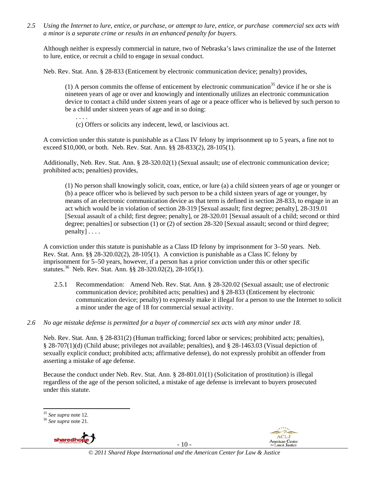*2.5 Using the Internet to lure, entice, or purchase, or attempt to lure, entice, or purchase commercial sex acts with a minor is a separate crime or results in an enhanced penalty for buyers.* 

Although neither is expressly commercial in nature, two of Nebraska's laws criminalize the use of the Internet to lure, entice, or recruit a child to engage in sexual conduct.

Neb. Rev. Stat. Ann. § 28-833 (Enticement by electronic communication device; penalty) provides,

(1) A person commits the offense of enticement by electronic communication<sup>35</sup> device if he or she is nineteen years of age or over and knowingly and intentionally utilizes an electronic communication device to contact a child under sixteen years of age or a peace officer who is believed by such person to be a child under sixteen years of age and in so doing:

(c) Offers or solicits any indecent, lewd, or lascivious act.

. . . .

A conviction under this statute is punishable as a Class IV felony by imprisonment up to 5 years, a fine not to exceed \$10,000, or both. Neb. Rev. Stat. Ann. §§ 28-833(2), 28-105(1).

Additionally, Neb. Rev. Stat. Ann. § 28-320.02(1) (Sexual assault; use of electronic communication device; prohibited acts; penalties) provides,

(1) No person shall knowingly solicit, coax, entice, or lure (a) a child sixteen years of age or younger or (b) a peace officer who is believed by such person to be a child sixteen years of age or younger, by means of an electronic communication device as that term is defined in section 28-833, to engage in an act which would be in violation of section 28-319 [Sexual assault; first degree; penalty], 28-319.01 [Sexual assault of a child; first degree; penalty], or 28-320.01 [Sexual assault of a child; second or third degree; penalties] or subsection (1) or (2) of section 28-320 [Sexual assault; second or third degree; penalty] . . . .

A conviction under this statute is punishable as a Class ID felony by imprisonment for 3–50 years. Neb. Rev. Stat. Ann. §§ 28-320.02(2), 28-105(1). A conviction is punishable as a Class IC felony by imprisonment for 5–50 years, however, if a person has a prior conviction under this or other specific statutes.36 Neb. Rev. Stat. Ann. §§ 28-320.02(2), 28-105(1).

- 2.5.1 Recommendation: Amend Neb. Rev. Stat. Ann. § 28-320.02 (Sexual assault; use of electronic communication device; prohibited acts; penalties) and § 28-833 (Enticement by electronic communication device; penalty) to expressly make it illegal for a person to use the Internet to solicit a minor under the age of 18 for commercial sexual activity.
- *2.6 No age mistake defense is permitted for a buyer of commercial sex acts with any minor under 18.*

Neb. Rev. Stat. Ann. § 28-831(2) (Human trafficking; forced labor or services; prohibited acts; penalties), § 28-707(1)(d) (Child abuse; privileges not available; penalties), and § 28-1463.03 (Visual depiction of sexually explicit conduct; prohibited acts; affirmative defense), do not expressly prohibit an offender from asserting a mistake of age defense.

Because the conduct under Neb. Rev. Stat. Ann. § 28-801.01(1) (Solicitation of prostitution) is illegal regardless of the age of the person solicited, a mistake of age defense is irrelevant to buyers prosecuted under this statute.







 *<sup>35</sup> See supra* note 12. 36 *See supra* note 21.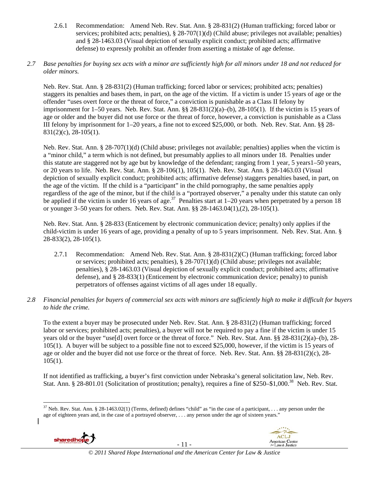2.6.1 Recommendation: Amend Neb. Rev. Stat. Ann. § 28-831(2) (Human trafficking; forced labor or services; prohibited acts; penalties), § 28-707(1)(d) (Child abuse; privileges not available; penalties) and § 28-1463.03 (Visual depiction of sexually explicit conduct; prohibited acts; affirmative defense) to expressly prohibit an offender from asserting a mistake of age defense.

### *2.7 Base penalties for buying sex acts with a minor are sufficiently high for all minors under 18 and not reduced for older minors.*

Neb. Rev. Stat. Ann. § 28-831(2) (Human trafficking; forced labor or services; prohibited acts; penalties) staggers its penalties and bases them, in part, on the age of the victim. If a victim is under 15 years of age or the offender "uses overt force or the threat of force," a conviction is punishable as a Class II felony by imprisonment for 1–50 years. Neb. Rev. Stat. Ann. §§ 28-831(2)(a)–(b), 28-105(1). If the victim is 15 years of age or older and the buyer did not use force or the threat of force, however, a conviction is punishable as a Class III felony by imprisonment for 1–20 years, a fine not to exceed \$25,000, or both. Neb. Rev. Stat. Ann. §§ 28- 831(2)(c), 28-105(1).

Neb. Rev. Stat. Ann. § 28-707(1)(d) (Child abuse; privileges not available; penalties) applies when the victim is a "minor child," a term which is not defined, but presumably applies to all minors under 18. Penalties under this statute are staggered not by age but by knowledge of the defendant; ranging from 1 year, 5 years1–50 years, or 20 years to life. Neb. Rev. Stat. Ann. § 28-106(1), 105(1). Neb. Rev. Stat. Ann. § 28-1463.03 (Visual depiction of sexually explicit conduct; prohibited acts; affirmative defense) staggers penalties based, in part, on the age of the victim. If the child is a "participant" in the child pornography, the same penalties apply regardless of the age of the minor, but if the child is a "portrayed observer," a penalty under this statute can only be applied if the victim is under 16 years of age.<sup>37</sup> Penalties start at 1–20 years when perpetrated by a person 18 or younger 3–50 years for others. Neb. Rev. Stat. Ann. §§ 28-1463.04(1),(2), 28-105(1).

Neb. Rev. Stat. Ann. § 28-833 (Enticement by electronic communication device; penalty) only applies if the child-victim is under 16 years of age, providing a penalty of up to 5 years imprisonment. Neb. Rev. Stat. Ann. § 28-833(2), 28-105(1).

- 2.7.1 Recommendation: Amend Neb. Rev. Stat. Ann. § 28-831(2)(C) (Human trafficking; forced labor or services; prohibited acts; penalties), § 28-707(1)(d) (Child abuse; privileges not available; penalties), § 28-1463.03 (Visual depiction of sexually explicit conduct; prohibited acts; affirmative defense), and § 28-833(1) (Enticement by electronic communication device; penalty) to punish perpetrators of offenses against victims of all ages under 18 equally.
- *2.8 Financial penalties for buyers of commercial sex acts with minors are sufficiently high to make it difficult for buyers to hide the crime.*

To the extent a buyer may be prosecuted under Neb. Rev. Stat. Ann. § 28-831(2) (Human trafficking; forced labor or services; prohibited acts; penalties), a buyer will not be required to pay a fine if the victim is under 15 years old or the buyer "use[d] overt force or the threat of force." Neb. Rev. Stat. Ann. §§ 28-831(2)(a)–(b), 28- 105(1). A buyer will be subject to a possible fine not to exceed \$25,000, however, if the victim is 15 years of age or older and the buyer did not use force or the threat of force. Neb. Rev. Stat. Ann. §§ 28-831(2)(c), 28-  $105(1)$ .

If not identified as trafficking, a buyer's first conviction under Nebraska's general solicitation law, Neb. Rev. Stat. Ann. § 28-801.01 (Solicitation of prostitution; penalty), requires a fine of \$250–\$1,000.<sup>38</sup> Neb. Rev. Stat.

 $37$  Neb. Rev. Stat. Ann. § 28-1463.02(1) (Terms, defined) defines "child" as "in the case of a participant, . . . any person under the age of eighteen years and, in the case of a portrayed observer, . . . any person under the age of sixteen years."



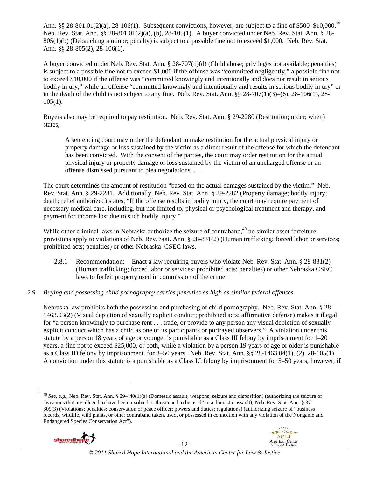Ann. §§ 28-801.01(2)(a), 28-106(1). Subsequent convictions, however, are subject to a fine of \$500–\$10,000.<sup>39</sup> Neb. Rev. Stat. Ann. §§ 28-801.01(2)(a), (b), 28-105(1). A buyer convicted under Neb. Rev. Stat. Ann. § 28- 805(1)(b) (Debauching a minor; penalty) is subject to a possible fine not to exceed \$1,000. Neb. Rev. Stat. Ann. §§ 28-805(2), 28-106(1).

A buyer convicted under Neb. Rev. Stat. Ann. § 28-707(1)(d) (Child abuse; privileges not available; penalties) is subject to a possible fine not to exceed \$1,000 if the offense was "committed negligently," a possible fine not to exceed \$10,000 if the offense was "committed knowingly and intentionally and does not result in serious bodily injury," while an offense "committed knowingly and intentionally and results in serious bodily injury" or in the death of the child is not subject to any fine. Neb. Rev. Stat. Ann.  $\S$ § 28-707(1)(3)–(6), 28-106(1), 28- $105(1)$ .

Buyers also may be required to pay restitution. Neb. Rev. Stat. Ann. § 29-2280 (Restitution; order; when) states,

A sentencing court may order the defendant to make restitution for the actual physical injury or property damage or loss sustained by the victim as a direct result of the offense for which the defendant has been convicted. With the consent of the parties, the court may order restitution for the actual physical injury or property damage or loss sustained by the victim of an uncharged offense or an offense dismissed pursuant to plea negotiations. . . .

The court determines the amount of restitution "based on the actual damages sustained by the victim." Neb. Rev. Stat. Ann. § 29-2281. Additionally, Neb. Rev. Stat. Ann. § 29-2282 (Property damage; bodily injury; death; relief authorized) states, "If the offense results in bodily injury, the court may require payment of necessary medical care, including, but not limited to, physical or psychological treatment and therapy, and payment for income lost due to such bodily injury."

While other criminal laws in Nebraska authorize the seizure of contraband,<sup>40</sup> no similar asset forfeiture provisions apply to violations of Neb. Rev. Stat. Ann. § 28-831(2) (Human trafficking; forced labor or services; prohibited acts; penalties) or other Nebraska CSEC laws.

- 2.8.1 Recommendation: Enact a law requiring buyers who violate Neb. Rev. Stat. Ann. § 28-831(2) (Human trafficking; forced labor or services; prohibited acts; penalties) or other Nebraska CSEC laws to forfeit property used in commission of the crime.
- *2.9 Buying and possessing child pornography carries penalties as high as similar federal offenses.*

Nebraska law prohibits both the possession and purchasing of child pornography. Neb. Rev. Stat. Ann. § 28- 1463.03(2) (Visual depiction of sexually explicit conduct; prohibited acts; affirmative defense) makes it illegal for "a person knowingly to purchase rent . . . trade, or provide to any person any visual depiction of sexually explicit conduct which has a child as one of its participants or portrayed observers." A violation under this statute by a person 18 years of age or younger is punishable as a Class III felony by imprisonment for 1–20 years, a fine not to exceed \$25,000, or both, while a violation by a person 19 years of age or older is punishable as a Class ID felony by imprisonment for 3–50 years. Neb. Rev. Stat. Ann. §§ 28-1463.04(1), (2), 28-105(1). A conviction under this statute is a punishable as a Class IC felony by imprisonment for 5–50 years, however, if

<sup>40</sup> *See, e.g.*, Neb. Rev. Stat. Ann. § 29-440(1)(a) (Domestic assault; weapons; seizure and disposition) (authorizing the seizure of "weapons that are alleged to have been involved or threatened to be used" in a domestic assault); Neb. Rev. Stat. Ann. § 37- 809(3) (Violations; penalties; conservation or peace officer; powers and duties; regulations) (authorizing seizure of "business records, wildlife, wild plants, or other contraband taken, used, or possessed in connection with any violation of the Nongame and Endangered Species Conservation Act").



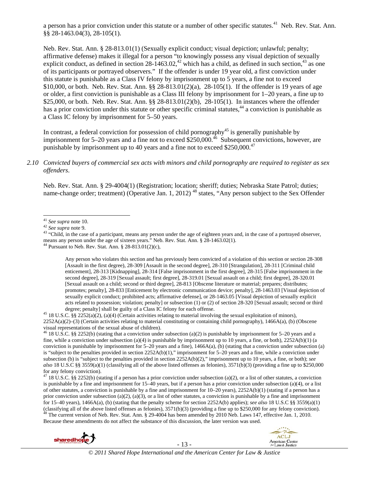a person has a prior conviction under this statute or a number of other specific statutes.<sup>41</sup> Neb. Rev. Stat. Ann. §§ 28-1463.04(3), 28-105(1).

Neb. Rev. Stat. Ann. § 28-813.01(1) (Sexually explicit conduct; visual depiction; unlawful; penalty; affirmative defense) makes it illegal for a person "to knowingly possess any visual depiction of sexually explicit conduct, as defined in section  $28-1463.02$ ,<sup>42</sup> which has a child, as defined in such section,<sup>43</sup> as one of its participants or portrayed observers." If the offender is under 19 year old, a first conviction under this statute is punishable as a Class IV felony by imprisonment up to 5 years, a fine not to exceed \$10,000, or both. Neb. Rev. Stat. Ann. §§ 28-813.01(2)(a), 28-105(1). If the offender is 19 years of age or older, a first conviction is punishable as a Class III felony by imprisonment for 1–20 years, a fine up to \$25,000, or both. Neb. Rev. Stat. Ann. §§ 28-813.01(2)(b), 28-105(1). In instances where the offender has a prior conviction under this statute or other specific criminal statutes,<sup>44</sup> a conviction is punishable as a Class IC felony by imprisonment for 5–50 years.

In contrast, a federal conviction for possession of child pornography<sup>45</sup> is generally punishable by imprisonment for 5–20 years and a fine not to exceed  $$250,000.<sup>46</sup>$  Subsequent convictions, however, are punishable by imprisonment up to 40 years and a fine not to exceed  $$250,000.<sup>47</sup>$ 

#### *2.10 Convicted buyers of commercial sex acts with minors and child pornography are required to register as sex offenders*.

Neb. Rev. Stat. Ann. § 29-4004(1) (Registration; location; sheriff; duties; Nebraska State Patrol; duties; name-change order; treatment) (Operative Jan. 1, 2012)<sup>48</sup> states, "Any person subject to the Sex Offender

Any person who violates this section and has previously been convicted of a violation of this section or section 28-308 [Assault in the first degree), 28-309 [Assault in the second degree], 28-310 [Strangulation], 28-311 [Criminal child enticement], 28-313 [Kidnapping], 28-314 [False imprisonment in the first degree], 28-315 [False imprisonment in the second degree], 28-319 [Sexual assault; first degree], 28-319.01 [Sexual assault on a child; first degree], 28-320.01 [Sexual assault on a child; second or third degree], 28-813 [Obscene literature or material; prepares; distributes; promotes; penalty], 28-833 [Enticement by electronic communication device; penalty], 28-1463.03 [Visual depiction of sexually explicit conduct; prohibited acts; affirmative defense], or 28-1463.05 [Visual depiction of sexually explicit acts related to possession; violation; penalty] or subsection (1) or (2) of section 28-320 [Sexual assault; second or third

degree; penalty] shall be guilty of a Class IC felony for each offense.<br><sup>45</sup> 18 U.S.C. §§ 2252(a)(2), (a)(4) (Certain activities relating to material involving the sexual exploitation of minors), 2252A(a)(2)–(3) (Certain activities relating to material constituting or containing child pornography), 1466A(a), (b) (Obscene visual representations of the sexual abuse of children).

<sup>46</sup> 18 U.S.C. §§ 2252(b) (stating that a conviction under subsection (a)(2) is punishable by imprisonment for 5–20 years and a fine, while a conviction under subsection (a)(4) is punishable by imprisonment up to 10 years, a fine, or both),  $2252A(b)(1)$  (a conviction is punishable by imprisonment for  $5-20$  years and a fine),  $1466A(a)$ , (b) (stating that a conviction under subsection (a) is "subject to the penalties provided in section  $2252A(b)(1)$ ," imprisonment for 5–20 years and a fine, while a conviction under subsection (b) is "subject to the penalties provided in section 2252A(b)(2)," imprisonment up to 10 years, a fine, or both); *see also* 18 U.S.C §§ 3559(a)(1) (classifying all of the above listed offenses as felonies), 3571(b)(3) (providing a fine up to \$250,000 for any felony conviction).

<sup>47</sup> 18 U.S.C. §§ 2252(b) (stating if a person has a prior conviction under subsection (a)(2), or a list of other statutes, a conviction is punishable by a fine and imprisonment for 15–40 years, but if a person has a prior conviction under subsection (a)(4), or a list of other statutes, a conviction is punishable by a fine and imprisonment for 10–20 years), 2252A(b)(1) (stating if a person has a prior conviction under subsection (a)(2), (a)(3), or a list of other statutes, a conviction is punishable by a fine and imprisonment for 15–40 years), 1466A(a), (b) (stating that the penalty scheme for section 2252A(b) applies); *see also* 18 U.S.C §§ 3559(a)(1) (classifying all of the above listed offenses as felonies),  $3571(b)(3)$  (providing a fine up to \$250,000 for any felony conviction).<br><sup>48</sup> The current version of Neb. Rev. Stat. Ann. § 29-4004 has been amended by 2010 Neb. Because these amendments do not affect the substance of this discussion, the later version was used.



- 13 -



<sup>&</sup>lt;sup>41</sup> *See supra* note 10.<br><sup>42</sup> *See supra* note 9.<br><sup>43</sup> "Child, in the case of a participant, means any person under the age of eighteen years and, in the case of a portrayed observer, means any person under the age of sixteen years." Neb. Rev. Stat. Ann. §  $28-1463.02(1)$ .<br><sup>44</sup> Pursuant to Neb. Rev. Stat. Ann. § 28-813.01(2)(c),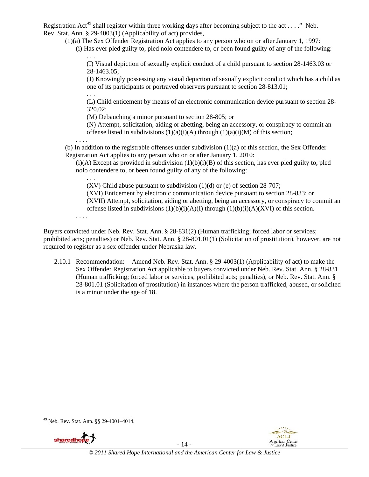Registration Act<sup>49</sup> shall register within three working days after becoming subject to the act . . . ." Neb. Rev. Stat. Ann. § 29-4003(1) (Applicability of act) provides,

(1)(a) The Sex Offender Registration Act applies to any person who on or after January 1, 1997:

(i) Has ever pled guilty to, pled nolo contendere to, or been found guilty of any of the following: . . .

(I) Visual depiction of sexually explicit conduct of a child pursuant to section 28-1463.03 or 28-1463.05;

(J) Knowingly possessing any visual depiction of sexually explicit conduct which has a child as one of its participants or portrayed observers pursuant to section 28-813.01;

. . . (L) Child enticement by means of an electronic communication device pursuant to section 28- 320.02;

(M) Debauching a minor pursuant to section 28-805; or

(N) Attempt, solicitation, aiding or abetting, being an accessory, or conspiracy to commit an offense listed in subdivisions  $(1)(a)(i)(A)$  through  $(1)(a)(i)(M)$  of this section;

(b) In addition to the registrable offenses under subdivision  $(1)(a)$  of this section, the Sex Offender Registration Act applies to any person who on or after January 1, 2010:

 $(i)$ (A) Except as provided in subdivision  $(1)(b)(i)$ (B) of this section, has ever pled guilty to, pled nolo contendere to, or been found guilty of any of the following:

(XV) Child abuse pursuant to subdivision  $(1)(d)$  or (e) of section 28-707;

(XVI) Enticement by electronic communication device pursuant to section 28-833; or (XVII) Attempt, solicitation, aiding or abetting, being an accessory, or conspiracy to commit an

offense listed in subdivisions  $(1)(b)(i)(A)(I)$  through  $(1)(b)(i)(A)(XVI)$  of this section.

. . . .

. . .

. . . .

Buyers convicted under Neb. Rev. Stat. Ann. § 28-831(2) (Human trafficking; forced labor or services; prohibited acts; penalties) or Neb. Rev. Stat. Ann. § 28-801.01(1) (Solicitation of prostitution), however, are not required to register as a sex offender under Nebraska law.

2.10.1 Recommendation: Amend Neb. Rev. Stat. Ann. § 29-4003(1) (Applicability of act) to make the Sex Offender Registration Act applicable to buyers convicted under Neb. Rev. Stat. Ann. § 28-831 (Human trafficking; forced labor or services; prohibited acts; penalties), or Neb. Rev. Stat. Ann. § 28-801.01 (Solicitation of prostitution) in instances where the person trafficked, abused, or solicited is a minor under the age of 18.

#### 49 Neb. Rev. Stat. Ann. §§ 29-4001–4014.



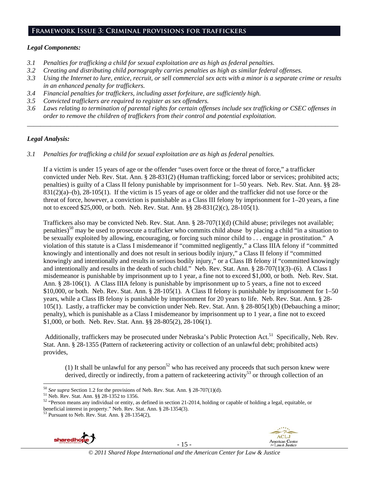# **Framework Issue 3: Criminal provisions for traffickers**

#### *Legal Components:*

- *3.1 Penalties for trafficking a child for sexual exploitation are as high as federal penalties.*
- *3.2 Creating and distributing child pornography carries penalties as high as similar federal offenses.*
- *3.3 Using the Internet to lure, entice, recruit, or sell commercial sex acts with a minor is a separate crime or results in an enhanced penalty for traffickers.*
- *3.4 Financial penalties for traffickers, including asset forfeiture, are sufficiently high.*
- *3.5 Convicted traffickers are required to register as sex offenders.*
- *3.6 Laws relating to termination of parental rights for certain offenses include sex trafficking or CSEC offenses in order to remove the children of traffickers from their control and potential exploitation.*

*\_\_\_\_\_\_\_\_\_\_\_\_\_\_\_\_\_\_\_\_\_\_\_\_\_\_\_\_\_\_\_\_\_\_\_\_\_\_\_\_\_\_\_\_\_\_\_\_\_\_\_\_\_\_\_\_\_\_\_\_\_\_\_\_\_\_\_\_\_\_\_\_\_\_\_\_\_\_\_\_\_\_\_\_\_\_\_\_\_\_\_\_\_\_* 

#### *Legal Analysis:*

*3.1 Penalties for trafficking a child for sexual exploitation are as high as federal penalties.* 

If a victim is under 15 years of age or the offender "uses overt force or the threat of force," a trafficker convicted under Neb. Rev. Stat. Ann. § 28-831(2) (Human trafficking; forced labor or services; prohibited acts; penalties) is guilty of a Class II felony punishable by imprisonment for 1–50 years. Neb. Rev. Stat. Ann. §§ 28- 831(2)(a)–(b), 28-105(1). If the victim is 15 years of age or older and the trafficker did not use force or the threat of force, however, a conviction is punishable as a Class III felony by imprisonment for 1–20 years, a fine not to exceed \$25,000, or both. Neb. Rev. Stat. Ann. §§ 28-831(2)(c), 28-105(1).

Traffickers also may be convicted Neb. Rev. Stat. Ann. § 28-707(1)(d) (Child abuse; privileges not available; penalties)50 may be used to prosecute a trafficker who commits child abuse by placing a child "in a situation to be sexually exploited by allowing, encouraging, or forcing such minor child to . . . engage in prostitution." A violation of this statute is a Class I misdemeanor if "committed negligently," a Class IIIA felony if "committed knowingly and intentionally and does not result in serious bodily injury," a Class II felony if "committed knowingly and intentionally and results in serious bodily injury," or a Class IB felony if "committed knowingly and intentionally and results in the death of such child." Neb. Rev. Stat. Ann. § 28-707(1)(3)–(6). A Class I misdemeanor is punishable by imprisonment up to 1 year, a fine not to exceed \$1,000, or both. Neb. Rev. Stat. Ann. § 28-106(1). A Class IIIA felony is punishable by imprisonment up to 5 years, a fine not to exceed \$10,000, or both. Neb. Rev. Stat. Ann. § 28-105(1). A Class II felony is punishable by imprisonment for 1–50 years, while a Class IB felony is punishable by imprisonment for 20 years to life. Neb. Rev. Stat. Ann. § 28- 105(1). Lastly, a trafficker may be conviction under Neb. Rev. Stat. Ann. § 28-805(1)(b) (Debauching a minor; penalty), which is punishable as a Class I misdemeanor by imprisonment up to 1 year, a fine not to exceed \$1,000, or both. Neb. Rev. Stat. Ann. §§ 28-805(2), 28-106(1).

Additionally, traffickers may be prosecuted under Nebraska's Public Protection Act.<sup>51</sup> Specifically, Neb. Rev. Stat. Ann. § 28-1355 (Pattern of racketeering activity or collection of an unlawful debt; prohibited acts) provides,

(1) It shall be unlawful for any person<sup>52</sup> who has received any proceeds that such person knew were derived, directly or indirectly, from a pattern of racketeering activity<sup>53</sup> or through collection of an



- 15 -



<sup>&</sup>lt;sup>50</sup> *See supra* Section 1.2 for the provisions of Neb. Rev. Stat. Ann. § 28-707(1)(d). <sup>51</sup> Neb. Rev. Stat. Ann. §§ 28-1352 to 1356.

<sup>&</sup>lt;sup>51</sup> Neb. Rev. Stat. Ann. §§ 28-1352 to 1356.<br><sup>52</sup> "Person means any individual or entity, as defined in section 21-2014, holding or capable of holding a legal, equitable, or beneficial interest in property." Neb. Rev. Stat. Ann. § 28-1354(3). 53 Pursuant to Neb. Rev. Stat. Ann. § 28-1354(2),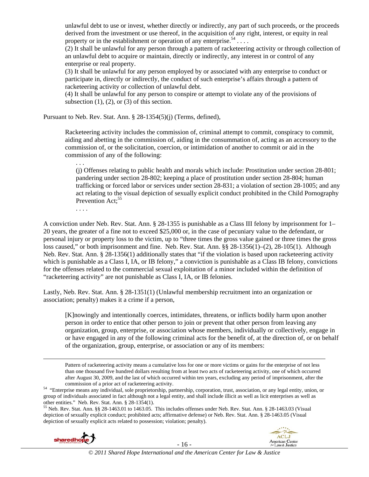unlawful debt to use or invest, whether directly or indirectly, any part of such proceeds, or the proceeds derived from the investment or use thereof, in the acquisition of any right, interest, or equity in real property or in the establishment or operation of any enterprise.<sup>54</sup> ...

 $(2)$  It shall be unlawful for any person through a pattern of racketeering activity or through collection of an unlawful debt to acquire or maintain, directly or indirectly, any interest in or control of any enterprise or real property.

(3) It shall be unlawful for any person employed by or associated with any enterprise to conduct or participate in, directly or indirectly, the conduct of such enterprise's affairs through a pattern of racketeering activity or collection of unlawful debt.

(4) It shall be unlawful for any person to conspire or attempt to violate any of the provisions of subsection  $(1)$ ,  $(2)$ , or  $(3)$  of this section.

Pursuant to Neb. Rev. Stat. Ann. § 28-1354(5)(j) (Terms, defined),

Racketeering activity includes the commission of, criminal attempt to commit, conspiracy to commit, aiding and abetting in the commission of, aiding in the consummation of, acting as an accessory to the commission of, or the solicitation, coercion, or intimidation of another to commit or aid in the commission of any of the following:

(j) Offenses relating to public health and morals which include: Prostitution under section 28-801; pandering under section 28-802; keeping a place of prostitution under section 28-804; human trafficking or forced labor or services under section 28-831; a violation of section 28-1005; and any act relating to the visual depiction of sexually explicit conduct prohibited in the Child Pornography Prevention Act:<sup>55</sup>

. . . .

. . .

A conviction under Neb. Rev. Stat. Ann. § 28-1355 is punishable as a Class III felony by imprisonment for 1– 20 years, the greater of a fine not to exceed \$25,000 or, in the case of pecuniary value to the defendant, or personal injury or property loss to the victim, up to "three times the gross value gained or three times the gross loss caused," or both imprisonment and fine. Neb. Rev. Stat. Ann. §§ 28-1356(1)–(2), 28-105(1). Although Neb. Rev. Stat. Ann. § 28-1356(1) additionally states that "if the violation is based upon racketeering activity which is punishable as a Class I, IA, or IB felony," a conviction is punishable as a Class IB felony, convictions for the offenses related to the commercial sexual exploitation of a minor included within the definition of "racketeering activity" are not punishable as Class I, IA, or IB felonies.

Lastly, Neb. Rev. Stat. Ann. § 28-1351(1) (Unlawful membership recruitment into an organization or association; penalty) makes it a crime if a person,

[K]nowingly and intentionally coerces, intimidates, threatens, or inflicts bodily harm upon another person in order to entice that other person to join or prevent that other person from leaving any organization, group, enterprise, or association whose members, individually or collectively, engage in or have engaged in any of the following criminal acts for the benefit of, at the direction of, or on behalf of the organization, group, enterprise, or association or any of its members:

Pattern of racketeering activity means a cumulative loss for one or more victims or gains for the enterprise of not less than one thousand five hundred dollars resulting from at least two acts of racketeering activity, one of which occurred after August 30, 2009, and the last of which occurred within ten years, excluding any period of imprisonment, after the

commission of a prior act of racketeering activity. 54 "Enterprise means any individual, sole proprietorship, partnership, corporation, trust, association, or any legal entity, union, or group of individuals associated in fact although not a legal entity, and shall include illicit as well as licit enterprises as well as other entities." Neb. Rev. Stat. Ann. § 28-1354(1).

<u> 1989 - Johann Stein, marwolaethau a bhannaich an t-an an t-an an t-an an t-an an t-an an t-an an t-an an t-a</u>

55 Neb. Rev. Stat. Ann. §§ 28-1463.01 to 1463.05. This includes offenses under Neb. Rev. Stat. Ann. § 28-1463.03 (Visual depiction of sexually explicit conduct; prohibited acts; affirmative defense) or Neb. Rev. Stat. Ann. § 28-1463.05 (Visual depiction of sexually explicit acts related to possession; violation; penalty).



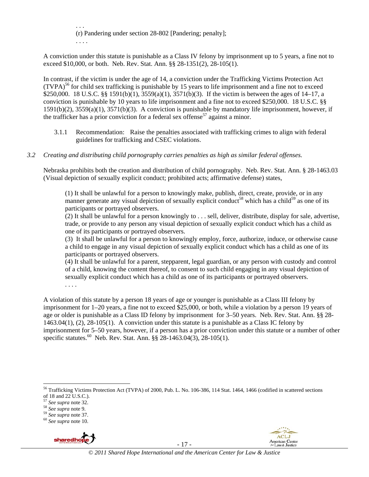. . . (r) Pandering under section 28-802 [Pandering; penalty]; . . . .

A conviction under this statute is punishable as a Class IV felony by imprisonment up to 5 years, a fine not to exceed \$10,000, or both. Neb. Rev. Stat. Ann. §§ 28-1351(2), 28-105(1).

In contrast, if the victim is under the age of 14, a conviction under the Trafficking Victims Protection Act  $(TVPA)<sup>56</sup>$  for child sex trafficking is punishable by 15 years to life imprisonment and a fine not to exceed \$250,000. 18 U.S.C. §§ 1591(b)(1), 3559(a)(1), 3571(b)(3). If the victim is between the ages of 14–17, a conviction is punishable by 10 years to life imprisonment and a fine not to exceed \$250,000. 18 U.S.C. §§ 1591(b)(2), 3559(a)(1), 3571(b)(3). A conviction is punishable by mandatory life imprisonment, however, if the trafficker has a prior conviction for a federal sex offense<sup>57</sup> against a minor.

- 3.1.1 Recommendation: Raise the penalties associated with trafficking crimes to align with federal guidelines for trafficking and CSEC violations.
- *3.2 Creating and distributing child pornography carries penalties as high as similar federal offenses.*

Nebraska prohibits both the creation and distribution of child pornography. Neb. Rev. Stat. Ann. § 28-1463.03 (Visual depiction of sexually explicit conduct; prohibited acts; affirmative defense) states,

(1) It shall be unlawful for a person to knowingly make, publish, direct, create, provide, or in any manner generate any visual depiction of sexually explicit conduct<sup>58</sup> which has a child<sup>59</sup> as one of its participants or portrayed observers.

 $(2)$  It shall be unlawful for a person knowingly to ... sell, deliver, distribute, display for sale, advertise, trade, or provide to any person any visual depiction of sexually explicit conduct which has a child as one of its participants or portrayed observers.

(3) It shall be unlawful for a person to knowingly employ, force, authorize, induce, or otherwise cause a child to engage in any visual depiction of sexually explicit conduct which has a child as one of its participants or portrayed observers.

(4) It shall be unlawful for a parent, stepparent, legal guardian, or any person with custody and control of a child, knowing the content thereof, to consent to such child engaging in any visual depiction of sexually explicit conduct which has a child as one of its participants or portrayed observers.

A violation of this statute by a person 18 years of age or younger is punishable as a Class III felony by imprisonment for 1–20 years, a fine not to exceed \$25,000, or both, while a violation by a person 19 years of age or older is punishable as a Class ID felony by imprisonment for 3–50 years. Neb. Rev. Stat. Ann. §§ 28- 1463.04(1), (2), 28-105(1). A conviction under this statute is a punishable as a Class IC felony by imprisonment for 5–50 years, however, if a person has a prior conviction under this statute or a number of other specific statutes.<sup>60</sup> Neb. Rev. Stat. Ann. §§ 28-1463.04(3), 28-105(1).

. . . .



**ACLI American Center** 

 56 Trafficking Victims Protection Act (TVPA) of 2000, Pub. L. No. 106-386, 114 Stat. 1464, 1466 (codified in scattered sections of 18 and 22 U.S.C.).<br><sup>57</sup> See supra note 32.

<sup>57</sup> *See supra* note 32. 58 *See supra* note 9. 59 *See supra* note 37. 60 *See supra* note 10.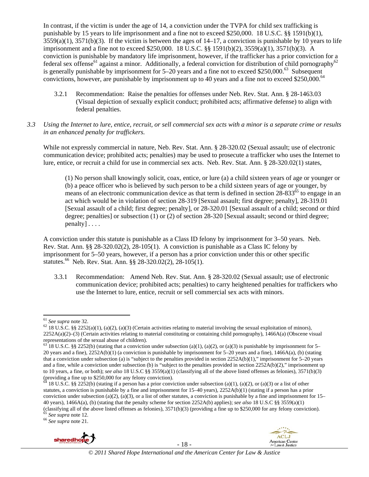In contrast, if the victim is under the age of 14, a conviction under the TVPA for child sex trafficking is punishable by 15 years to life imprisonment and a fine not to exceed \$250,000. 18 U.S.C. §§ 1591(b)(1),  $3559(a)(1)$ ,  $3571(b)(3)$ . If the victim is between the ages of  $14-17$ , a conviction is punishable by 10 years to life imprisonment and a fine not to exceed \$250,000. 18 U.S.C. §§ 1591(b)(2), 3559(a)(1), 3571(b)(3). A conviction is punishable by mandatory life imprisonment, however, if the trafficker has a prior conviction for a federal sex offense<sup>61</sup> against a minor. Additionally, a federal conviction for distribution of child pornography<sup>62</sup> is generally punishable by imprisonment for  $5-20$  years and a fine not to exceed \$250,000.<sup>63</sup> Subsequent convictions, however, are punishable by imprisonment up to 40 years and a fine not to exceed \$250,000.<sup>64</sup>

- 3.2.1 Recommendation: Raise the penalties for offenses under Neb. Rev. Stat. Ann. § 28-1463.03 (Visual depiction of sexually explicit conduct; prohibited acts; affirmative defense) to align with federal penalties.
- *3.3 Using the Internet to lure, entice, recruit, or sell commercial sex acts with a minor is a separate crime or results in an enhanced penalty for traffickers.*

While not expressly commercial in nature, Neb. Rev. Stat. Ann. § 28-320.02 (Sexual assault; use of electronic communication device; prohibited acts; penalties) may be used to prosecute a trafficker who uses the Internet to lure, entice, or recruit a child for use in commercial sex acts. Neb. Rev. Stat. Ann. § 28-320.02(1) states,

(1) No person shall knowingly solicit, coax, entice, or lure (a) a child sixteen years of age or younger or (b) a peace officer who is believed by such person to be a child sixteen years of age or younger, by means of an electronic communication device as that term is defined in section  $28-833^{65}$  to engage in an act which would be in violation of section 28-319 [Sexual assault; first degree; penalty], 28-319.01 [Sexual assault of a child; first degree; penalty], or 28-320.01 [Sexual assault of a child; second or third degree; penalties] or subsection (1) or (2) of section 28-320 [Sexual assault; second or third degree; penalty] . . . .

A conviction under this statute is punishable as a Class ID felony by imprisonment for 3–50 years. Neb. Rev. Stat. Ann. §§ 28-320.02(2), 28-105(1). A conviction is punishable as a Class IC felony by imprisonment for 5–50 years, however, if a person has a prior conviction under this or other specific statutes.<sup>66</sup> Neb. Rev. Stat. Ann. §§ 28-320.02(2), 28-105(1).

3.3.1 Recommendation: Amend Neb. Rev. Stat. Ann. § 28-320.02 (Sexual assault; use of electronic communication device; prohibited acts; penalties) to carry heightened penalties for traffickers who use the Internet to lure, entice, recruit or sell commercial sex acts with minors.



- 18 -



<sup>&</sup>lt;sup>61</sup> *See supra* note 32. **62** 18 U.S.C. §§ 2252(a)(1), (a)(2), (a)(3) (Certain activities relating to material involving the sexual exploitation of minors), 2252A(a)(2)–(3) (Certain activities relating to material constituting or containing child pornography), 1466A(a) (Obscene visual representations of the sexual abuse of children).

 $63$  18 U.S.C. §§ 2252(b) (stating that a conviction under subsection (a)(1), (a)(2), or (a)(3) is punishable by imprisonment for 5– 20 years and a fine), 2252A(b)(1) (a conviction is punishable by imprisonment for 5–20 years and a fine), 1466A(a), (b) (stating that a conviction under subsection (a) is "subject to the penalties provided in section 2252A(b)(1)," imprisonment for 5–20 years and a fine, while a conviction under subsection (b) is "subject to the penalties provided in section  $2252A(b)(2)$ ," imprisonment up to 10 years, a fine, or both); *see also* 18 U.S.C §§ 3559(a)(1) (classifying all of the above listed offenses as felonies), 3571(b)(3) (providing a fine up to \$250,000 for any felony conviction).

<sup>18</sup> U.S.C. §§ 2252(b) (stating if a person has a prior conviction under subsection (a)(1), (a)(2), or (a)(3) or a list of other statutes, a conviction is punishable by a fine and imprisonment for 15–40 years), 2252A(b)(1) (stating if a person has a prior conviction under subsection (a)(2), (a)(3), or a list of other statutes, a conviction is punishable by a fine and imprisonment for  $15-$ 40 years), 1466A(a), (b) (stating that the penalty scheme for section 2252A(b) applies); *see also* 18 U.S.C §§ 3559(a)(1) (classifying all of the above listed offenses as felonies), 3571(b)(3) (providing a fine up to \$250,000 for any felony conviction). 65 *See supra* note 12. 66 *See supra* note 21.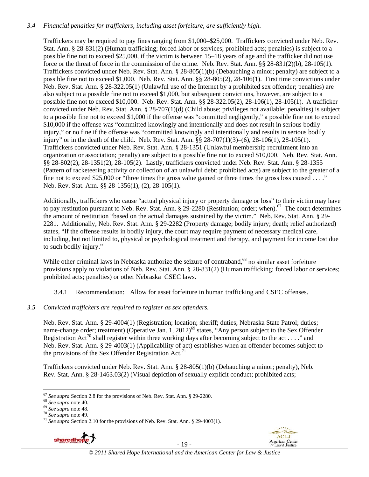# *3.4 Financial penalties for traffickers, including asset forfeiture, are sufficiently high*.

Traffickers may be required to pay fines ranging from \$1,000–\$25,000. Traffickers convicted under Neb. Rev. Stat. Ann. § 28-831(2) (Human trafficking; forced labor or services; prohibited acts; penalties) is subject to a possible fine not to exceed \$25,000, if the victim is between 15–18 years of age and the trafficker did not use force or the threat of force in the commission of the crime. Neb. Rev. Stat. Ann. §§ 28-831(2)(b), 28-105(1). Traffickers convicted under Neb. Rev. Stat. Ann. § 28-805(1)(b) (Debauching a minor; penalty) are subject to a possible fine not to exceed \$1,000. Neb. Rev. Stat. Ann. §§ 28-805(2), 28-106(1). First time convictions under Neb. Rev. Stat. Ann. § 28-322.05(1) (Unlawful use of the Internet by a prohibited sex offender; penalties) are also subject to a possible fine not to exceed \$1,000, but subsequent convictions, however, are subject to a possible fine not to exceed \$10,000. Neb. Rev. Stat. Ann. §§ 28-322.05(2), 28-106(1), 28-105(1). A trafficker convicted under Neb. Rev. Stat. Ann. § 28-707(1)(d) (Child abuse; privileges not available; penalties) is subject to a possible fine not to exceed \$1,000 if the offense was "committed negligently," a possible fine not to exceed \$10,000 if the offense was "committed knowingly and intentionally and does not result in serious bodily injury," or no fine if the offense was "committed knowingly and intentionally and results in serious bodily injury" or in the death of the child. Neb. Rev. Stat. Ann. §§ 28-707(1)(3)–(6), 28-106(1), 28-105(1). Traffickers convicted under Neb. Rev. Stat. Ann. § 28-1351 (Unlawful membership recruitment into an organization or association; penalty) are subject to a possible fine not to exceed \$10,000. Neb. Rev. Stat. Ann. §§ 28-802(2), 28-1351(2), 28-105(2). Lastly, traffickers convicted under Neb. Rev. Stat. Ann. § 28-1355 (Pattern of racketeering activity or collection of an unlawful debt; prohibited acts) are subject to the greater of a fine not to exceed \$25,000 or "three times the gross value gained or three times the gross loss caused . . . ." Neb. Rev. Stat. Ann. §§ 28-1356(1), (2), 28-105(1).

Additionally, traffickers who cause "actual physical injury or property damage or loss" to their victim may have to pay restitution pursuant to Neb. Rev. Stat. Ann.  $\S 29-2280$  (Restitution; order; when).<sup>67</sup> The court determines the amount of restitution "based on the actual damages sustained by the victim." Neb. Rev. Stat. Ann. § 29- 2281. Additionally, Neb. Rev. Stat. Ann. § 29-2282 (Property damage; bodily injury; death; relief authorized) states, "If the offense results in bodily injury, the court may require payment of necessary medical care, including, but not limited to, physical or psychological treatment and therapy, and payment for income lost due to such bodily injury."

While other criminal laws in Nebraska authorize the seizure of contraband,<sup>68</sup> no similar asset forfeiture provisions apply to violations of Neb. Rev. Stat. Ann. § 28-831(2) (Human trafficking; forced labor or services; prohibited acts; penalties) or other Nebraska CSEC laws.

3.4.1 Recommendation: Allow for asset forfeiture in human trafficking and CSEC offenses.

*3.5 Convicted traffickers are required to register as sex offenders.* 

Neb. Rev. Stat. Ann. § 29-4004(1) (Registration; location; sheriff; duties; Nebraska State Patrol; duties; name-change order; treatment) (Operative Jan. 1, 2012)<sup>69</sup> states, "Any person subject to the Sex Offender Registration Act<sup>70</sup> shall register within three working days after becoming subject to the act . . . ." and Neb. Rev. Stat. Ann. § 29-4003(1) (Applicability of act) establishes when an offender becomes subject to the provisions of the Sex Offender Registration Act.<sup>71</sup>

Traffickers convicted under Neb. Rev. Stat. Ann. § 28-805(1)(b) (Debauching a minor; penalty), Neb. Rev. Stat. Ann. § 28-1463.03(2) (Visual depiction of sexually explicit conduct; prohibited acts;

<sup>&</sup>lt;sup>68</sup> See supra note 40.<br><sup>69</sup> See supra note 48.<br><sup>70</sup> See supra note 49.<br><sup>71</sup> See supra Section 2.10 for the provisions of Neb. Rev. Stat. Ann. § 29-4003(1).



- 19 -



 $67$  See supra Section 2.8 for the provisions of Neb. Rev. Stat. Ann. § 29-2280.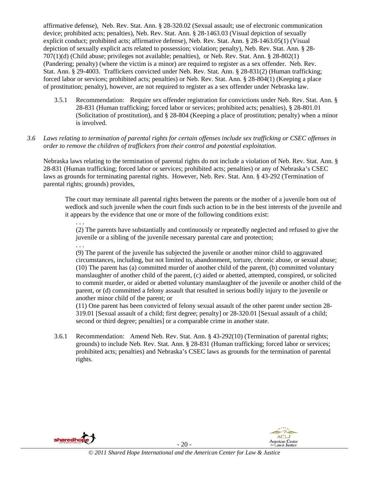affirmative defense), Neb. Rev. Stat. Ann. § 28-320.02 (Sexual assault; use of electronic communication device; prohibited acts; penalties), Neb. Rev. Stat. Ann. § 28-1463.03 (Visual depiction of sexually explicit conduct; prohibited acts; affirmative defense), Neb. Rev. Stat. Ann. § 28-1463.05(1) (Visual depiction of sexually explicit acts related to possession; violation; penalty), Neb. Rev. Stat. Ann. § 28- 707(1)(d) (Child abuse; privileges not available; penalties), or Neb. Rev. Stat. Ann. § 28-802(1) (Pandering; penalty) (where the victim is a minor) are required to register as a sex offender. Neb. Rev. Stat. Ann. § 29-4003. Traffickers convicted under Neb. Rev. Stat. Ann. § 28-831(2) (Human trafficking; forced labor or services; prohibited acts; penalties) or Neb. Rev. Stat. Ann. § 28-804(1) (Keeping a place of prostitution; penalty), however, are not required to register as a sex offender under Nebraska law.

3.5.1 Recommendation: Require sex offender registration for convictions under Neb. Rev. Stat. Ann. § 28-831 (Human trafficking; forced labor or services; prohibited acts; penalties), § 28-801.01 (Solicitation of prostitution), and § 28-804 (Keeping a place of prostitution; penalty) when a minor is involved.

#### *3.6 Laws relating to termination of parental rights for certain offenses include sex trafficking or CSEC offenses in order to remove the children of traffickers from their control and potential exploitation.*

Nebraska laws relating to the termination of parental rights do not include a violation of Neb. Rev. Stat. Ann. § 28-831 (Human trafficking; forced labor or services; prohibited acts; penalties) or any of Nebraska's CSEC laws as grounds for terminating parental rights. However, Neb. Rev. Stat. Ann. § 43-292 (Termination of parental rights; grounds) provides,

The court may terminate all parental rights between the parents or the mother of a juvenile born out of wedlock and such juvenile when the court finds such action to be in the best interests of the juvenile and it appears by the evidence that one or more of the following conditions exist:

. . . (2) The parents have substantially and continuously or repeatedly neglected and refused to give the juvenile or a sibling of the juvenile necessary parental care and protection;

. . .

(9) The parent of the juvenile has subjected the juvenile or another minor child to aggravated circumstances, including, but not limited to, abandonment, torture, chronic abuse, or sexual abuse; (10) The parent has (a) committed murder of another child of the parent, (b) committed voluntary manslaughter of another child of the parent, (c) aided or abetted, attempted, conspired, or solicited to commit murder, or aided or abetted voluntary manslaughter of the juvenile or another child of the parent, or (d) committed a felony assault that resulted in serious bodily injury to the juvenile or another minor child of the parent; or

(11) One parent has been convicted of felony sexual assault of the other parent under section 28- 319.01 [Sexual assault of a child; first degree; penalty] or 28-320.01 [Sexual assault of a child; second or third degree; penalties] or a comparable crime in another state.

3.6.1 Recommendation: Amend Neb. Rev. Stat. Ann. § 43-292(10) (Termination of parental rights; grounds) to include Neb. Rev. Stat. Ann. § 28-831 (Human trafficking; forced labor or services; prohibited acts; penalties) and Nebraska's CSEC laws as grounds for the termination of parental rights.



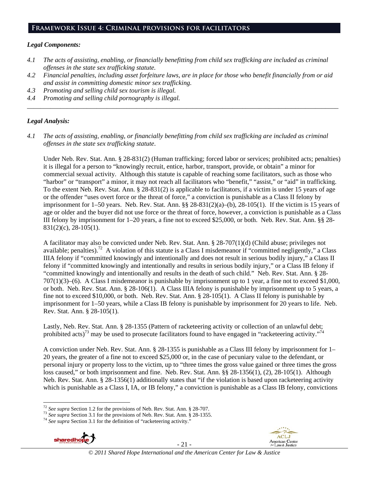#### **Framework Issue 4: Criminal provisions for facilitators**

#### *Legal Components:*

- *4.1 The acts of assisting, enabling, or financially benefitting from child sex trafficking are included as criminal offenses in the state sex trafficking statute.*
- *4.2 Financial penalties, including asset forfeiture laws, are in place for those who benefit financially from or aid and assist in committing domestic minor sex trafficking.*

*\_\_\_\_\_\_\_\_\_\_\_\_\_\_\_\_\_\_\_\_\_\_\_\_\_\_\_\_\_\_\_\_\_\_\_\_\_\_\_\_\_\_\_\_\_\_\_\_\_\_\_\_\_\_\_\_\_\_\_\_\_\_\_\_\_\_\_\_\_\_\_\_\_\_\_\_\_\_\_\_\_\_\_\_\_\_\_\_\_\_\_\_\_\_* 

- *4.3 Promoting and selling child sex tourism is illegal.*
- *4.4 Promoting and selling child pornography is illegal.*

#### *Legal Analysis:*

*4.1 The acts of assisting, enabling, or financially benefitting from child sex trafficking are included as criminal offenses in the state sex trafficking statute*.

Under Neb. Rev. Stat. Ann. § 28-831(2) (Human trafficking; forced labor or services; prohibited acts; penalties) it is illegal for a person to "knowingly recruit, entice, harbor, transport, provide, or obtain" a minor for commercial sexual activity. Although this statute is capable of reaching some facilitators, such as those who "harbor" or "transport" a minor, it may not reach all facilitators who "benefit," "assist," or "aid" in trafficking. To the extent Neb. Rev. Stat. Ann. § 28-831(2) is applicable to facilitators, if a victim is under 15 years of age or the offender "uses overt force or the threat of force," a conviction is punishable as a Class II felony by imprisonment for 1–50 years. Neb. Rev. Stat. Ann. §§ 28-831(2)(a)–(b), 28-105(1). If the victim is 15 years of age or older and the buyer did not use force or the threat of force, however, a conviction is punishable as a Class III felony by imprisonment for 1–20 years, a fine not to exceed \$25,000, or both. Neb. Rev. Stat. Ann. §§ 28- 831(2)(c), 28-105(1).

A facilitator may also be convicted under Neb. Rev. Stat. Ann. § 28-707(1)(d) (Child abuse; privileges not available; penalties).<sup>72</sup> A violation of this statute is a Class I misdemeanor if "committed negligently," a Class IIIA felony if "committed knowingly and intentionally and does not result in serious bodily injury," a Class II felony if "committed knowingly and intentionally and results in serious bodily injury," or a Class IB felony if "committed knowingly and intentionally and results in the death of such child." Neb. Rev. Stat. Ann. § 28- 707(1)(3)–(6). A Class I misdemeanor is punishable by imprisonment up to 1 year, a fine not to exceed \$1,000, or both. Neb. Rev. Stat. Ann. § 28-106(1). A Class IIIA felony is punishable by imprisonment up to 5 years, a fine not to exceed \$10,000, or both. Neb. Rev. Stat. Ann. § 28-105(1). A Class II felony is punishable by imprisonment for 1–50 years, while a Class IB felony is punishable by imprisonment for 20 years to life. Neb. Rev. Stat. Ann. § 28-105(1).

Lastly, Neb. Rev. Stat. Ann. § 28-1355 (Pattern of racketeering activity or collection of an unlawful debt; prohibited acts)<sup>73</sup> may be used to prosecute facilitators found to have engaged in "racketeering activity."<sup>74</sup>

A conviction under Neb. Rev. Stat. Ann. § 28-1355 is punishable as a Class III felony by imprisonment for 1– 20 years, the greater of a fine not to exceed \$25,000 or, in the case of pecuniary value to the defendant, or personal injury or property loss to the victim, up to "three times the gross value gained or three times the gross loss caused," or both imprisonment and fine. Neb. Rev. Stat. Ann. §§ 28-1356(1), (2), 28-105(1). Although Neb. Rev. Stat. Ann. § 28-1356(1) additionally states that "if the violation is based upon racketeering activity which is punishable as a Class I, IA, or IB felony," a conviction is punishable as a Class IB felony, convictions



- 21 -



 $72$  See supra Section 1.2 for the provisions of Neb. Rev. Stat. Ann. § 28-707.

<sup>&</sup>lt;sup>73</sup> See supra Section 3.1 for the provisions of Neb. Rev. Stat. Ann. § 28-1355.<br><sup>74</sup> See supra Section 3.1 for the definition of "racketeering activity."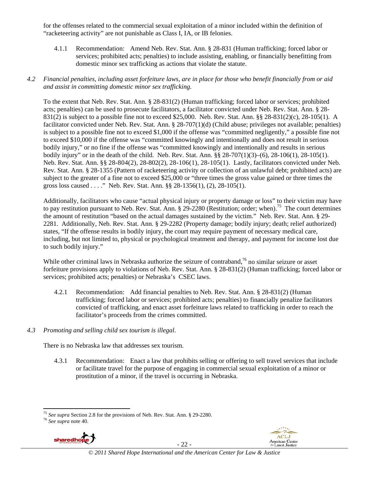for the offenses related to the commercial sexual exploitation of a minor included within the definition of "racketeering activity" are not punishable as Class I, IA, or IB felonies.

4.1.1 Recommendation: Amend Neb. Rev. Stat. Ann. § 28-831 (Human trafficking; forced labor or services; prohibited acts; penalties) to include assisting, enabling, or financially benefitting from domestic minor sex trafficking as actions that violate the statute.

#### *4.2 Financial penalties, including asset forfeiture laws, are in place for those who benefit financially from or aid and assist in committing domestic minor sex trafficking.*

To the extent that Neb. Rev. Stat. Ann. § 28-831(2) (Human trafficking; forced labor or services; prohibited acts; penalties) can be used to prosecute facilitators, a facilitator convicted under Neb. Rev. Stat. Ann. § 28- 831(2) is subject to a possible fine not to exceed \$25,000. Neb. Rev. Stat. Ann. §§ 28-831(2)(c), 28-105(1). A facilitator convicted under Neb. Rev. Stat. Ann. § 28-707(1)(d) (Child abuse; privileges not available; penalties) is subject to a possible fine not to exceed \$1,000 if the offense was "committed negligently," a possible fine not to exceed \$10,000 if the offense was "committed knowingly and intentionally and does not result in serious bodily injury," or no fine if the offense was "committed knowingly and intentionally and results in serious bodily injury" or in the death of the child. Neb. Rev. Stat. Ann. §§ 28-707(1)(3)–(6), 28-106(1), 28-105(1). Neb. Rev. Stat. Ann. §§ 28-804(2), 28-802(2), 28-106(1), 28-105(1). Lastly, facilitators convicted under Neb. Rev. Stat. Ann. § 28-1355 (Pattern of racketeering activity or collection of an unlawful debt; prohibited acts) are subject to the greater of a fine not to exceed \$25,000 or "three times the gross value gained or three times the gross loss caused . . . ." Neb. Rev. Stat. Ann. §§ 28-1356(1), (2), 28-105(1).

Additionally, facilitators who cause "actual physical injury or property damage or loss" to their victim may have to pay restitution pursuant to Neb. Rev. Stat. Ann.  $\S 29-2280$  (Restitution; order; when).<sup>75</sup> The court determines the amount of restitution "based on the actual damages sustained by the victim." Neb. Rev. Stat. Ann. § 29- 2281. Additionally, Neb. Rev. Stat. Ann. § 29-2282 (Property damage; bodily injury; death; relief authorized) states, "If the offense results in bodily injury, the court may require payment of necessary medical care, including, but not limited to, physical or psychological treatment and therapy, and payment for income lost due to such bodily injury."

While other criminal laws in Nebraska authorize the seizure of contraband,<sup>76</sup> no similar seizure or asset forfeiture provisions apply to violations of Neb. Rev. Stat. Ann. § 28-831(2) (Human trafficking; forced labor or services; prohibited acts; penalties) or Nebraska's CSEC laws.

4.2.1 Recommendation: Add financial penalties to Neb. Rev. Stat. Ann. § 28-831(2) (Human trafficking; forced labor or services; prohibited acts; penalties) to financially penalize facilitators convicted of trafficking, and enact asset forfeiture laws related to trafficking in order to reach the facilitator's proceeds from the crimes committed.

#### *4.3 Promoting and selling child sex tourism is illegal*.

There is no Nebraska law that addresses sex tourism.

4.3.1 Recommendation: Enact a law that prohibits selling or offering to sell travel services that include or facilitate travel for the purpose of engaging in commercial sexual exploitation of a minor or prostitution of a minor, if the travel is occurring in Nebraska.



- 22 -



 <sup>75</sup> *See supra* Section 2.8 for the provisions of Neb. Rev. Stat. Ann. § 29-2280. 76 *See supra* note 40.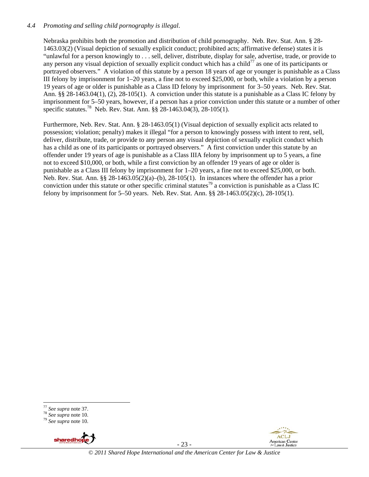# *4.4 Promoting and selling child pornography is illegal*.

Nebraska prohibits both the promotion and distribution of child pornography. Neb. Rev. Stat. Ann. § 28- 1463.03(2) (Visual depiction of sexually explicit conduct; prohibited acts; affirmative defense) states it is "unlawful for a person knowingly to . . . sell, deliver, distribute, display for sale, advertise, trade, or provide to any person any visual depiction of sexually explicit conduct which has a child<sup>77</sup> as one of its participants or portrayed observers." A violation of this statute by a person 18 years of age or younger is punishable as a Class III felony by imprisonment for 1–20 years, a fine not to exceed \$25,000, or both, while a violation by a person 19 years of age or older is punishable as a Class ID felony by imprisonment for 3–50 years. Neb. Rev. Stat. Ann. §§ 28-1463.04(1), (2), 28-105(1). A conviction under this statute is a punishable as a Class IC felony by imprisonment for 5–50 years, however, if a person has a prior conviction under this statute or a number of other specific statutes.78 Neb. Rev. Stat. Ann. §§ 28-1463.04(3), 28-105(1).

Furthermore, Neb. Rev. Stat. Ann. § 28-1463.05(1) (Visual depiction of sexually explicit acts related to possession; violation; penalty) makes it illegal "for a person to knowingly possess with intent to rent, sell, deliver, distribute, trade, or provide to any person any visual depiction of sexually explicit conduct which has a child as one of its participants or portrayed observers." A first conviction under this statute by an offender under 19 years of age is punishable as a Class IIIA felony by imprisonment up to 5 years, a fine not to exceed \$10,000, or both, while a first conviction by an offender 19 years of age or older is punishable as a Class III felony by imprisonment for 1–20 years, a fine not to exceed \$25,000, or both. Neb. Rev. Stat. Ann. §§ 28-1463.05(2)(a)–(b), 28-105(1). In instances where the offender has a prior conviction under this statute or other specific criminal statutes<sup>79</sup> a conviction is punishable as a Class IC felony by imprisonment for 5–50 years. Neb. Rev. Stat. Ann. §§ 28-1463.05(2)(c), 28-105(1).

<sup>77</sup> *See supra* note 37. 78 *See supra* note 10. 79 *See supra* note 10.



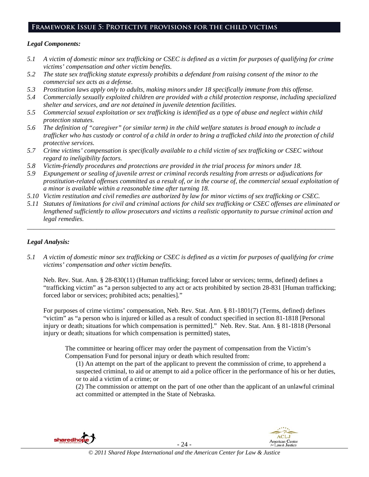# **Framework Issue 5: Protective provisions for the child victims**

#### *Legal Components:*

- *5.1 A victim of domestic minor sex trafficking or CSEC is defined as a victim for purposes of qualifying for crime victims' compensation and other victim benefits.*
- *5.2 The state sex trafficking statute expressly prohibits a defendant from raising consent of the minor to the commercial sex acts as a defense.*
- *5.3 Prostitution laws apply only to adults, making minors under 18 specifically immune from this offense.*
- *5.4 Commercially sexually exploited children are provided with a child protection response, including specialized shelter and services, and are not detained in juvenile detention facilities.*
- *5.5 Commercial sexual exploitation or sex trafficking is identified as a type of abuse and neglect within child protection statutes.*
- *5.6 The definition of "caregiver" (or similar term) in the child welfare statutes is broad enough to include a trafficker who has custody or control of a child in order to bring a trafficked child into the protection of child protective services.*
- *5.7 Crime victims' compensation is specifically available to a child victim of sex trafficking or CSEC without regard to ineligibility factors.*
- *5.8 Victim-friendly procedures and protections are provided in the trial process for minors under 18.*
- *5.9 Expungement or sealing of juvenile arrest or criminal records resulting from arrests or adjudications for prostitution-related offenses committed as a result of, or in the course of, the commercial sexual exploitation of a minor is available within a reasonable time after turning 18.*
- *5.10 Victim restitution and civil remedies are authorized by law for minor victims of sex trafficking or CSEC.*
- *5.11 Statutes of limitations for civil and criminal actions for child sex trafficking or CSEC offenses are eliminated or lengthened sufficiently to allow prosecutors and victims a realistic opportunity to pursue criminal action and legal remedies.*

*\_\_\_\_\_\_\_\_\_\_\_\_\_\_\_\_\_\_\_\_\_\_\_\_\_\_\_\_\_\_\_\_\_\_\_\_\_\_\_\_\_\_\_\_\_\_\_\_\_\_\_\_\_\_\_\_\_\_\_\_\_\_\_\_\_\_\_\_\_\_\_\_\_\_\_\_\_\_\_\_\_\_\_\_\_\_\_\_\_\_\_\_\_* 

#### *Legal Analysis:*

*5.1 A victim of domestic minor sex trafficking or CSEC is defined as a victim for purposes of qualifying for crime victims' compensation and other victim benefits.* 

Neb. Rev. Stat. Ann. § 28-830(11) (Human trafficking; forced labor or services; terms, defined) defines a "trafficking victim" as "a person subjected to any act or acts prohibited by section 28-831 [Human trafficking; forced labor or services; prohibited acts; penalties]."

For purposes of crime victims' compensation, Neb. Rev. Stat. Ann. § 81-1801(7) (Terms, defined) defines "victim" as "a person who is injured or killed as a result of conduct specified in section 81-1818 [Personal injury or death; situations for which compensation is permitted]." Neb. Rev. Stat. Ann. § 81-1818 (Personal injury or death; situations for which compensation is permitted) states,

The committee or hearing officer may order the payment of compensation from the Victim's Compensation Fund for personal injury or death which resulted from:

(1) An attempt on the part of the applicant to prevent the commission of crime, to apprehend a suspected criminal, to aid or attempt to aid a police officer in the performance of his or her duties, or to aid a victim of a crime; or

(2) The commission or attempt on the part of one other than the applicant of an unlawful criminal act committed or attempted in the State of Nebraska.





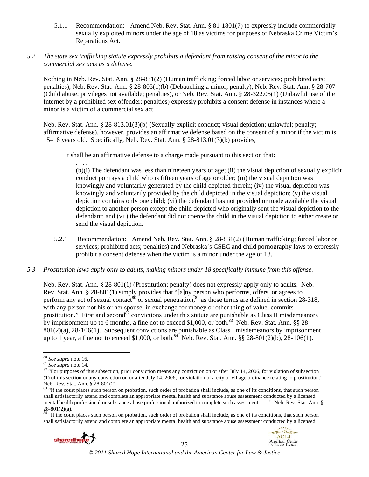- 5.1.1 Recommendation: Amend Neb. Rev. Stat. Ann. § 81-1801(7) to expressly include commercially sexually exploited minors under the age of 18 as victims for purposes of Nebraska Crime Victim's Reparations Act.
- *5.2 The state sex trafficking statute expressly prohibits a defendant from raising consent of the minor to the commercial sex acts as a defense.*

Nothing in Neb. Rev. Stat. Ann. § 28-831(2) (Human trafficking; forced labor or services; prohibited acts; penalties), Neb. Rev. Stat. Ann. § 28-805(1)(b) (Debauching a minor; penalty), Neb. Rev. Stat. Ann. § 28-707 (Child abuse; privileges not available; penalties), or Neb. Rev. Stat. Ann. § 28-322.05(1) (Unlawful use of the Internet by a prohibited sex offender; penalties) expressly prohibits a consent defense in instances where a minor is a victim of a commercial sex act.

Neb. Rev. Stat. Ann. § 28-813.01(3)(b) (Sexually explicit conduct; visual depiction; unlawful; penalty; affirmative defense), however, provides an affirmative defense based on the consent of a minor if the victim is 15–18 years old. Specifically, Neb. Rev. Stat. Ann. § 28-813.01(3)(b) provides,

It shall be an affirmative defense to a charge made pursuant to this section that:

. . . . (b)(i) The defendant was less than nineteen years of age; (ii) the visual depiction of sexually explicit conduct portrays a child who is fifteen years of age or older; (iii) the visual depiction was knowingly and voluntarily generated by the child depicted therein; (iv) the visual depiction was knowingly and voluntarily provided by the child depicted in the visual depiction; (v) the visual depiction contains only one child; (vi) the defendant has not provided or made available the visual depiction to another person except the child depicted who originally sent the visual depiction to the defendant; and (vii) the defendant did not coerce the child in the visual depiction to either create or send the visual depiction.

- 5.2.1 Recommendation: Amend Neb. Rev. Stat. Ann. § 28-831(2) (Human trafficking; forced labor or services; prohibited acts; penalties) and Nebraska's CSEC and child pornography laws to expressly prohibit a consent defense when the victim is a minor under the age of 18.
- *5.3 Prostitution laws apply only to adults, making minors under 18 specifically immune from this offense.*

Neb. Rev. Stat. Ann. § 28-801(1) (Prostitution; penalty) does not expressly apply only to adults. Neb. Rev. Stat. Ann. § 28-801(1) simply provides that "[a]ny person who performs, offers, or agrees to perform any act of sexual contact<sup>80</sup> or sexual penetration, $8^{11}$  as those terms are defined in section 28-318, with any person not his or her spouse, in exchange for money or other thing of value, commits prostitution." First and second<sup>82</sup> convictions under this statute are punishable as Class II misdemeanors by imprisonment up to 6 months, a fine not to exceed \$1,000, or both.<sup>83</sup> Neb. Rev. Stat. Ann. §§ 28- $801(2)$ (a), 28-106(1). Subsequent convictions are punishable as Class I misdemeanors by imprisonment up to 1 year, a fine not to exceed \$1,000, or both.<sup>84</sup> Neb. Rev. Stat. Ann. §§ 28-801(2)(b), 28-106(1).

84 "If the court places such person on probation, such order of probation shall include, as one of its conditions, that such person shall satisfactorily attend and complete an appropriate mental health and substance abuse assessment conducted by a licensed



- 25 -



<sup>&</sup>lt;sup>80</sup> *See supra* note 16.<br><sup>81</sup> *See supra* note 14.<br><sup>82</sup> "For purposes of this subsection, prior conviction means any conviction on or after July 14, 2006, for violation of subsection (1) of this section or any conviction on or after July 14, 2006, for violation of a city or village ordinance relating to prostitution." Neb. Rev. Stat. Ann. § 28-801(2).

<sup>83 &</sup>quot;If the court places such person on probation, such order of probation shall include, as one of its conditions, that such person shall satisfactorily attend and complete an appropriate mental health and substance abuse assessment conducted by a licensed mental health professional or substance abuse professional authorized to complete such assessment . . . ." Neb. Rev. Stat. Ann. § 28-801(2)(a).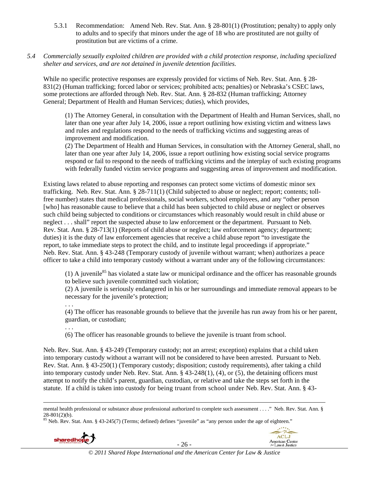5.3.1 Recommendation: Amend Neb. Rev. Stat. Ann. § 28-801(1) (Prostitution; penalty) to apply only to adults and to specify that minors under the age of 18 who are prostituted are not guilty of prostitution but are victims of a crime.

### *5.4 Commercially sexually exploited children are provided with a child protection response, including specialized shelter and services, and are not detained in juvenile detention facilities.*

While no specific protective responses are expressly provided for victims of Neb. Rev. Stat. Ann. § 28-831(2) (Human trafficking; forced labor or services; prohibited acts; penalties) or Nebraska's CSEC laws, some protections are afforded through Neb. Rev. Stat. Ann. § 28-832 (Human trafficking; Attorney General; Department of Health and Human Services; duties), which provides,

(1) The Attorney General, in consultation with the Department of Health and Human Services, shall, no later than one year after July 14, 2006, issue a report outlining how existing victim and witness laws and rules and regulations respond to the needs of trafficking victims and suggesting areas of improvement and modification.

(2) The Department of Health and Human Services, in consultation with the Attorney General, shall, no later than one year after July 14, 2006, issue a report outlining how existing social service programs respond or fail to respond to the needs of trafficking victims and the interplay of such existing programs with federally funded victim service programs and suggesting areas of improvement and modification.

Existing laws related to abuse reporting and responses can protect some victims of domestic minor sex trafficking. Neb. Rev. Stat. Ann. § 28-711(1) (Child subjected to abuse or neglect; report; contents; tollfree number) states that medical professionals, social workers, school employees, and any "other person [who] has reasonable cause to believe that a child has been subjected to child abuse or neglect or observes such child being subjected to conditions or circumstances which reasonably would result in child abuse or neglect . . . shall" report the suspected abuse to law enforcement or the department. Pursuant to Neb. Rev. Stat. Ann. § 28-713(1) (Reports of child abuse or neglect; law enforcement agency; department; duties) it is the duty of law enforcement agencies that receive a child abuse report "to investigate the report, to take immediate steps to protect the child, and to institute legal proceedings if appropriate." Neb. Rev. Stat. Ann. § 43-248 (Temporary custody of juvenile without warrant; when) authorizes a peace officer to take a child into temporary custody without a warrant under any of the following circumstances:

(1) A juvenile<sup>85</sup> has violated a state law or municipal ordinance and the officer has reasonable grounds to believe such juvenile committed such violation;

(2) A juvenile is seriously endangered in his or her surroundings and immediate removal appears to be necessary for the juvenile's protection;

. . .

(4) The officer has reasonable grounds to believe that the juvenile has run away from his or her parent, guardian, or custodian;

. . .

(6) The officer has reasonable grounds to believe the juvenile is truant from school.

Neb. Rev. Stat. Ann. § 43-249 (Temporary custody; not an arrest; exception) explains that a child taken into temporary custody without a warrant will not be considered to have been arrested. Pursuant to Neb. Rev. Stat. Ann. § 43-250(1) (Temporary custody; disposition; custody requirements), after taking a child into temporary custody under Neb. Rev. Stat. Ann. § 43-248(1), (4), or (5), the detaining officers must attempt to notify the child's parent, guardian, custodian, or relative and take the steps set forth in the statute. If a child is taken into custody for being truant from school under Neb. Rev. Stat. Ann. § 43-

 $85$  Neb. Rev. Stat. Ann. § 43-245(7) (Terms; defined) defines "juvenile" as "any person under the age of eighteen."



<sup>&</sup>lt;u> 1989 - Johann Stein, marwolaethau a gweledydd a ganlad y ganlad y ganlad y ganlad y ganlad y ganlad y ganlad</u> mental health professional or substance abuse professional authorized to complete such assessment . . . ." Neb. Rev. Stat. Ann. §  $28-801(2)(b)$ .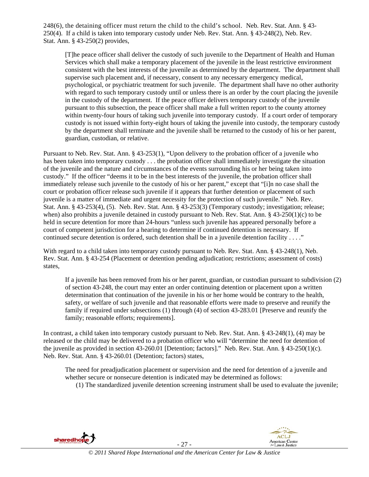248(6), the detaining officer must return the child to the child's school. Neb. Rev. Stat. Ann. § 43- 250(4). If a child is taken into temporary custody under Neb. Rev. Stat. Ann. § 43-248(2), Neb. Rev. Stat. Ann. § 43-250(2) provides,

[T]he peace officer shall deliver the custody of such juvenile to the Department of Health and Human Services which shall make a temporary placement of the juvenile in the least restrictive environment consistent with the best interests of the juvenile as determined by the department. The department shall supervise such placement and, if necessary, consent to any necessary emergency medical, psychological, or psychiatric treatment for such juvenile. The department shall have no other authority with regard to such temporary custody until or unless there is an order by the court placing the juvenile in the custody of the department. If the peace officer delivers temporary custody of the juvenile pursuant to this subsection, the peace officer shall make a full written report to the county attorney within twenty-four hours of taking such juvenile into temporary custody. If a court order of temporary custody is not issued within forty-eight hours of taking the juvenile into custody, the temporary custody by the department shall terminate and the juvenile shall be returned to the custody of his or her parent, guardian, custodian, or relative.

Pursuant to Neb. Rev. Stat. Ann. § 43-253(1), "Upon delivery to the probation officer of a juvenile who has been taken into temporary custody . . . the probation officer shall immediately investigate the situation of the juvenile and the nature and circumstances of the events surrounding his or her being taken into custody." If the officer "deems it to be in the best interests of the juvenile, the probation officer shall immediately release such juvenile to the custody of his or her parent," except that "[i]n no case shall the court or probation officer release such juvenile if it appears that further detention or placement of such juvenile is a matter of immediate and urgent necessity for the protection of such juvenile." Neb. Rev. Stat. Ann. § 43-253(4), (5). Neb. Rev. Stat. Ann. § 43-253(3) (Temporary custody; investigation; release; when) also prohibits a juvenile detained in custody pursuant to Neb. Rev. Stat. Ann.  $\S$  43-250(1)(c) to be held in secure detention for more than 24-hours "unless such juvenile has appeared personally before a court of competent jurisdiction for a hearing to determine if continued detention is necessary. If continued secure detention is ordered, such detention shall be in a juvenile detention facility . . . ."

With regard to a child taken into temporary custody pursuant to Neb. Rev. Stat. Ann. § 43-248(1), Neb. Rev. Stat. Ann. § 43-254 (Placement or detention pending adjudication; restrictions; assessment of costs) states,

If a juvenile has been removed from his or her parent, guardian, or custodian pursuant to subdivision (2) of section 43-248, the court may enter an order continuing detention or placement upon a written determination that continuation of the juvenile in his or her home would be contrary to the health, safety, or welfare of such juvenile and that reasonable efforts were made to preserve and reunify the family if required under subsections (1) through (4) of section 43-283.01 [Preserve and reunify the family; reasonable efforts; requirements].

In contrast, a child taken into temporary custody pursuant to Neb. Rev. Stat. Ann. § 43-248(1), (4) may be released or the child may be delivered to a probation officer who will "determine the need for detention of the juvenile as provided in section 43-260.01 [Detention; factors]." Neb. Rev. Stat. Ann. § 43-250(1)(c). Neb. Rev. Stat. Ann. § 43-260.01 (Detention; factors) states,

The need for preadjudication placement or supervision and the need for detention of a juvenile and whether secure or nonsecure detention is indicated may be determined as follows:

(1) The standardized juvenile detention screening instrument shall be used to evaluate the juvenile;

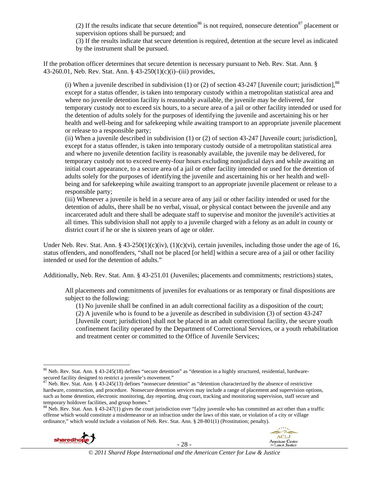(2) If the results indicate that secure detention<sup>86</sup> is not required, nonsecure detention<sup>87</sup> placement or supervision options shall be pursued; and

(3) If the results indicate that secure detention is required, detention at the secure level as indicated by the instrument shall be pursued.

If the probation officer determines that secure detention is necessary pursuant to Neb. Rev. Stat. Ann. § 43-260.01, Neb. Rev. Stat. Ann. § 43-250(1)(c)(i)–(iii) provides,

(i) When a juvenile described in subdivision (1) or (2) of section 43-247 [Juvenile court; jurisdiction],  $88$ except for a status offender, is taken into temporary custody within a metropolitan statistical area and where no juvenile detention facility is reasonably available, the juvenile may be delivered, for temporary custody not to exceed six hours, to a secure area of a jail or other facility intended or used for the detention of adults solely for the purposes of identifying the juvenile and ascertaining his or her health and well-being and for safekeeping while awaiting transport to an appropriate juvenile placement or release to a responsible party;

(ii) When a juvenile described in subdivision (1) or (2) of section 43-247 [Juvenile court; jurisdiction], except for a status offender, is taken into temporary custody outside of a metropolitan statistical area and where no juvenile detention facility is reasonably available, the juvenile may be delivered, for temporary custody not to exceed twenty-four hours excluding nonjudicial days and while awaiting an initial court appearance, to a secure area of a jail or other facility intended or used for the detention of adults solely for the purposes of identifying the juvenile and ascertaining his or her health and wellbeing and for safekeeping while awaiting transport to an appropriate juvenile placement or release to a responsible party;

(iii) Whenever a juvenile is held in a secure area of any jail or other facility intended or used for the detention of adults, there shall be no verbal, visual, or physical contact between the juvenile and any incarcerated adult and there shall be adequate staff to supervise and monitor the juvenile's activities at all times. This subdivision shall not apply to a juvenile charged with a felony as an adult in county or district court if he or she is sixteen years of age or older.

Under Neb. Rev. Stat. Ann. § 43-250(1)(c)(iv), (1)(c)(vi), certain juveniles, including those under the age of 16, status offenders, and nonoffenders, "shall not be placed [or held] within a secure area of a jail or other facility intended or used for the detention of adults."

Additionally, Neb. Rev. Stat. Ann. § 43-251.01 (Juveniles; placements and commitments; restrictions) states,

All placements and commitments of juveniles for evaluations or as temporary or final dispositions are subject to the following:

(1) No juvenile shall be confined in an adult correctional facility as a disposition of the court;

(2) A juvenile who is found to be a juvenile as described in subdivision (3) of section 43-247 [Juvenile court; jurisdiction] shall not be placed in an adult correctional facility, the secure youth confinement facility operated by the Department of Correctional Services, or a youth rehabilitation and treatment center or committed to the Office of Juvenile Services;

offense which would constitute a misdemeanor or an infraction under the laws of this state, or violation of a city or village ordinance," which would include a violation of Neb. Rev. Stat. Ann. § 28-801(1) (Prostitution; penalty).





 $86$  Neb. Rev. Stat. Ann. § 43-245(18) defines "secure detention" as "detention in a highly structured, residential, hardwaresecured facility designed to restrict a juvenile's movement."<br><sup>87</sup> Neb. Rev. Stat. Ann. § 43-245(13) defines "nonsecure detention" as "detention characterized by the absence of restrictive

hardware, construction, and procedure. Nonsecure detention services may include a range of placement and supervision options, such as home detention, electronic monitoring, day reporting, drug court, tracking and monitoring supervision, staff secure and temporary holdover facilities, and group homes."<br><sup>88</sup> Neb. Rev. Stat. Ann. § 43-247(1) gives the court jurisdiction over "[a]ny juvenile who has committed an act other than a traffic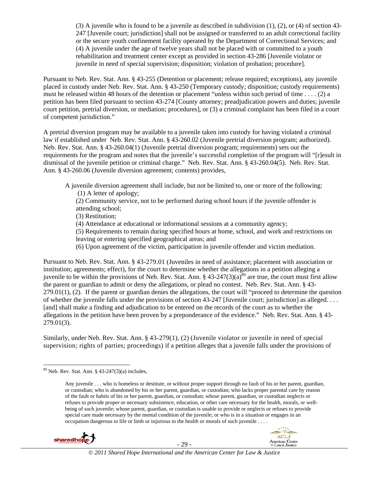(3) A juvenile who is found to be a juvenile as described in subdivision (1), (2), or (4) of section 43- 247 [Juvenile court; jurisdiction] shall not be assigned or transferred to an adult correctional facility or the secure youth confinement facility operated by the Department of Correctional Services; and (4) A juvenile under the age of twelve years shall not be placed with or committed to a youth rehabilitation and treatment center except as provided in section 43-286 [Juvenile violator or juvenile in need of special supervision; disposition; violation of probation; procedure].

Pursuant to Neb. Rev. Stat. Ann. § 43-255 (Detention or placement; release required; exceptions), any juvenile placed in custody under Neb. Rev. Stat. Ann. § 43-250 (Temporary custody; disposition; custody requirements) must be released within 48 hours of the detention or placement "unless within such period of time . . . . (2) a petition has been filed pursuant to section 43-274 [County attorney; preadjudication powers and duties; juvenile court petition, pretrial diversion, or mediation; procedures], or (3) a criminal complaint has been filed in a court of competent jurisdiction."

A pretrial diversion program may be available to a juvenile taken into custody for having violated a criminal law if established under Neb. Rev. Stat. Ann. § 43-260.02 (Juvenile pretrial diversion program; authorized). Neb. Rev. Stat. Ann. § 43-260.04(1) (Juvenile pretrial diversion program; requirements) sets out the requirements for the program and notes that the juvenile's successful completion of the program will "[r]esult in dismissal of the juvenile petition or criminal charge." Neb. Rev. Stat. Ann. § 43-260.04(5). Neb. Rev. Stat. Ann. § 43-260.06 (Juvenile diversion agreement; contents) provides,

A juvenile diversion agreement shall include, but not be limited to, one or more of the following:

(1) A letter of apology;

(2) Community service, not to be performed during school hours if the juvenile offender is attending school;

(3) Restitution;

(4) Attendance at educational or informational sessions at a community agency;

(5) Requirements to remain during specified hours at home, school, and work and restrictions on leaving or entering specified geographical areas; and

(6) Upon agreement of the victim, participation in juvenile offender and victim mediation.

Pursuant to Neb. Rev. Stat. Ann. § 43-279.01 (Juveniles in need of assistance; placement with association or institution; agreements; effect), for the court to determine whether the allegations in a petition alleging a juvenile to be within the provisions of Neb. Rev. Stat. Ann. §  $43-247(3)(a)^{89}$  are true, the court must first allow the parent or guardian to admit or deny the allegations, or plead no contest. Neb. Rev. Stat. Ann. § 43-  $279.01(1)$ ,  $(2)$ . If the parent or guardian denies the allegations, the court will "proceed to determine the question of whether the juvenile falls under the provisions of section 43-247 [Juvenile court; jurisdiction] as alleged. . . . [and] shall make a finding and adjudication to be entered on the records of the court as to whether the allegations in the petition have been proven by a preponderance of the evidence." Neb. Rev. Stat. Ann. § 43- 279.01(3).

Similarly, under Neb. Rev. Stat. Ann. § 43-279(1), (2) (Juvenile violator or juvenile in need of special supervision; rights of parties; proceedings) if a petition alleges that a juvenile falls under the provisions of

Any juvenile . . . who is homeless or destitute, or without proper support through no fault of his or her parent, guardian, or custodian; who is abandoned by his or her parent, guardian, or custodian; who lacks proper parental care by reason of the fault or habits of his or her parent, guardian, or custodian; whose parent, guardian, or custodian neglects or refuses to provide proper or necessary subsistence, education, or other care necessary for the health, morals, or wellbeing of such juvenile; whose parent, guardian, or custodian is unable to provide or neglects or refuses to provide special care made necessary by the mental condition of the juvenile; or who is in a situation or engages in an occupation dangerous to life or limb or injurious to the health or morals of such juvenile . . . .



  $89$  Neb. Rev. Stat. Ann. § 43-247(3)(a) includes,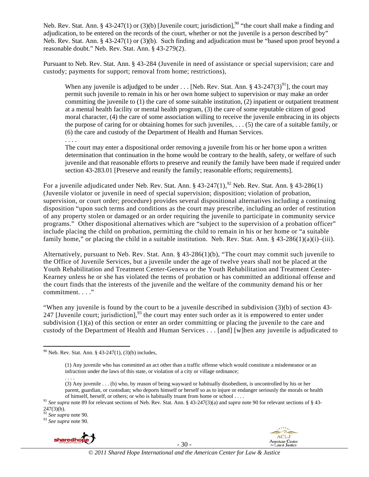Neb. Rev. Stat. Ann. § 43-247(1) or (3)(b) [Juvenile court; jurisdiction],<sup>90</sup> "the court shall make a finding and adjudication, to be entered on the records of the court, whether or not the juvenile is a person described by" Neb. Rev. Stat. Ann. § 43-247(1) or (3)(b). Such finding and adjudication must be "based upon proof beyond a reasonable doubt." Neb. Rev. Stat. Ann. § 43-279(2).

Pursuant to Neb. Rev. Stat. Ann. § 43-284 (Juvenile in need of assistance or special supervision; care and custody; payments for support; removal from home; restrictions),

When any juvenile is adjudged to be under . . . [Neb. Rev. Stat. Ann. §  $43-247(3)^{91}$ ], the court mav permit such juvenile to remain in his or her own home subject to supervision or may make an order committing the juvenile to  $(1)$  the care of some suitable institution,  $(2)$  inpatient or outpatient treatment at a mental health facility or mental health program, (3) the care of some reputable citizen of good moral character, (4) the care of some association willing to receive the juvenile embracing in its objects the purpose of caring for or obtaining homes for such juveniles, . . . (5) the care of a suitable family, or (6) the care and custody of the Department of Health and Human Services.

. . . .

The court may enter a dispositional order removing a juvenile from his or her home upon a written determination that continuation in the home would be contrary to the health, safety, or welfare of such juvenile and that reasonable efforts to preserve and reunify the family have been made if required under section 43-283.01 [Preserve and reunify the family; reasonable efforts; requirements].

For a juvenile adjudicated under Neb. Rev. Stat. Ann. §  $43-247(1)$ ,<sup>92</sup> Neb. Rev. Stat. Ann. §  $43-286(1)$ (Juvenile violator or juvenile in need of special supervision; disposition; violation of probation, supervision, or court order; procedure) provides several dispositional alternatives including a continuing disposition "upon such terms and conditions as the court may prescribe, including an order of restitution of any property stolen or damaged or an order requiring the juvenile to participate in community service programs." Other dispositional alternatives which are "subject to the supervision of a probation officer" include placing the child on probation, permitting the child to remain in his or her home or "a suitable family home," or placing the child in a suitable institution. Neb. Rev. Stat. Ann.  $\S$  43-286(1)(a)(i)–(iii).

Alternatively, pursuant to Neb. Rev. Stat. Ann. § 43-286(1)(b), "The court may commit such juvenile to the Office of Juvenile Services, but a juvenile under the age of twelve years shall not be placed at the Youth Rehabilitation and Treatment Center-Geneva or the Youth Rehabilitation and Treatment Center-Kearney unless he or she has violated the terms of probation or has committed an additional offense and the court finds that the interests of the juvenile and the welfare of the community demand his or her commitment. . . ."

"When any juvenile is found by the court to be a juvenile described in subdivision (3)(b) of section 43- 247 [Juvenile court; jurisdiction],  $93$  the court may enter such order as it is empowered to enter under subdivision (1)(a) of this section or enter an order committing or placing the juvenile to the care and custody of the Department of Health and Human Services . . . [and] [w]hen any juvenile is adjudicated to

<sup>&</sup>lt;sup>93</sup> See supra note 90.



- 30 -



  $90$  Neb. Rev. Stat. Ann. § 43-247(1), (3)(b) includes,

<sup>(1)</sup> Any juvenile who has committed an act other than a traffic offense which would constitute a misdemeanor or an infraction under the laws of this state, or violation of a city or village ordinance; . . . .

<sup>(3)</sup> Any juvenile . . . (b) who, by reason of being wayward or habitually disobedient, is uncontrolled by his or her parent, guardian, or custodian; who deports himself or herself so as to injure or endanger seriously the morals or health

of himself, herself, or others; or who is habitually truant from home or school ....<br><sup>91</sup> See supra note 89 for relevant sections of Neb. Rev. Stat. Ann. § 43-247(3)(a) and *supra* note 90 for relevant sections of § 43- $247(3)(b)$ .<br><sup>92</sup> See supra note 90.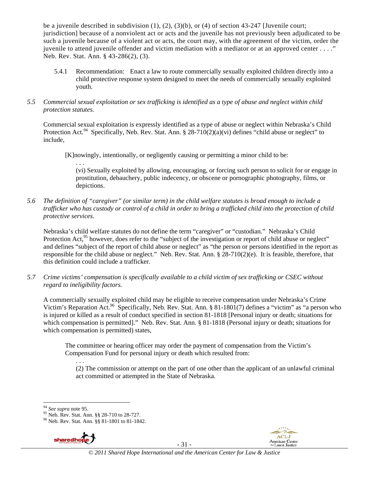be a juvenile described in subdivision (1), (2), (3)(b), or (4) of section 43-247 [Juvenile court; jurisdiction] because of a nonviolent act or acts and the juvenile has not previously been adjudicated to be such a juvenile because of a violent act or acts, the court may, with the agreement of the victim, order the juvenile to attend juvenile offender and victim mediation with a mediator or at an approved center . . . ." Neb. Rev. Stat. Ann. § 43-286(2), (3).

- 5.4.1 Recommendation: Enact a law to route commercially sexually exploited children directly into a child protective response system designed to meet the needs of commercially sexually exploited youth.
- *5.5 Commercial sexual exploitation or sex trafficking is identified as a type of abuse and neglect within child protection statutes.*

Commercial sexual exploitation is expressly identified as a type of abuse or neglect within Nebraska's Child Protection Act.<sup>94</sup> Specifically, Neb. Rev. Stat. Ann. § 28-710(2)(a)(vi) defines "child abuse or neglect" to include,

[K]nowingly, intentionally, or negligently causing or permitting a minor child to be:

. . . (vi) Sexually exploited by allowing, encouraging, or forcing such person to solicit for or engage in prostitution, debauchery, public indecency, or obscene or pornographic photography, films, or depictions.

*5.6 The definition of "caregiver" (or similar term) in the child welfare statutes is broad enough to include a trafficker who has custody or control of a child in order to bring a trafficked child into the protection of child protective services.* 

Nebraska's child welfare statutes do not define the term "caregiver" or "custodian." Nebraska's Child Protection Act,<sup>95</sup> however, does refer to the "subject of the investigation or report of child abuse or neglect" and defines "subject of the report of child abuse or neglect" as "the person or persons identified in the report as responsible for the child abuse or neglect." Neb. Rev. Stat. Ann. § 28-710(2)(e). It is feasible, therefore, that this definition could include a trafficker.

*5.7 Crime victims' compensation is specifically available to a child victim of sex trafficking or CSEC without regard to ineligibility factors.* 

A commercially sexually exploited child may be eligible to receive compensation under Nebraska's Crime Victim's Reparation Act.<sup>96</sup> Specifically, Neb. Rev. Stat. Ann. § 81-1801(7) defines a "victim" as "a person who is injured or killed as a result of conduct specified in section 81-1818 [Personal injury or death; situations for which compensation is permitted]." Neb. Rev. Stat. Ann. § 81-1818 (Personal injury or death; situations for which compensation is permitted) states,

The committee or hearing officer may order the payment of compensation from the Victim's Compensation Fund for personal injury or death which resulted from:

. . . (2) The commission or attempt on the part of one other than the applicant of an unlawful criminal act committed or attempted in the State of Nebraska.

<sup>96</sup> Neb. Rev. Stat. Ann. §§ 81-1801 to 81-1842.



- 31 -



<sup>&</sup>lt;sup>94</sup> *See supra* note 95.<br><sup>95</sup> Neb. Rev. Stat. Ann. §§ 28-710 to 28-727.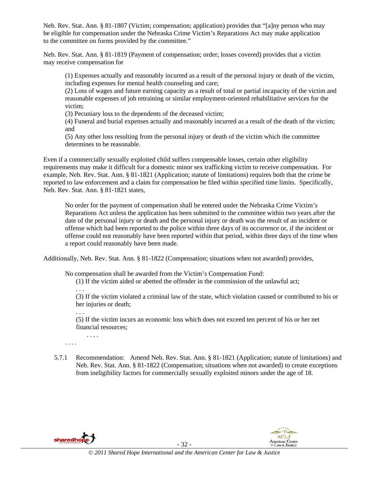Neb. Rev. Stat. Ann. § 81-1807 (Victim; compensation; application) provides that "[a]ny person who may be eligible for compensation under the Nebraska Crime Victim's Reparations Act may make application to the committee on forms provided by the committee."

Neb. Rev. Stat. Ann. § 81-1819 (Payment of compensation; order; losses covered) provides that a victim may receive compensation for

(1) Expenses actually and reasonably incurred as a result of the personal injury or death of the victim, including expenses for mental health counseling and care;

(2) Loss of wages and future earning capacity as a result of total or partial incapacity of the victim and reasonable expenses of job retraining or similar employment-oriented rehabilitative services for the victim;

(3) Pecuniary loss to the dependents of the deceased victim;

(4) Funeral and burial expenses actually and reasonably incurred as a result of the death of the victim; and

(5) Any other loss resulting from the personal injury or death of the victim which the committee determines to be reasonable.

Even if a commercially sexually exploited child suffers compensable losses, certain other eligibility requirements may make it difficult for a domestic minor sex trafficking victim to receive compensation. For example, Neb. Rev. Stat. Ann. § 81-1821 (Application; statute of limitations) requires both that the crime be reported to law enforcement and a claim for compensation be filed within specified time limits. Specifically, Neb. Rev. Stat. Ann. § 81-1821 states,

No order for the payment of compensation shall be entered under the Nebraska Crime Victim's Reparations Act unless the application has been submitted to the committee within two years after the date of the personal injury or death and the personal injury or death was the result of an incident or offense which had been reported to the police within three days of its occurrence or, if the incident or offense could not reasonably have been reported within that period, within three days of the time when a report could reasonably have been made.

Additionally, Neb. Rev. Stat. Ann. § 81-1822 (Compensation; situations when not awarded) provides,

No compensation shall be awarded from the Victim's Compensation Fund:

(1) If the victim aided or abetted the offender in the commission of the unlawful act;

. . .

. . .

. . . .

(3) If the victim violated a criminal law of the state, which violation caused or contributed to his or her injuries or death;

(5) If the victim incurs an economic loss which does not exceed ten percent of his or her net financial resources;

. . . .

5.7.1 Recommendation: Amend Neb. Rev. Stat. Ann. § 81-1821 (Application; statute of limitations) and Neb. Rev. Stat. Ann. § 81-1822 (Compensation; situations when not awarded) to create exceptions from ineligibility factors for commercially sexually exploited minors under the age of 18.



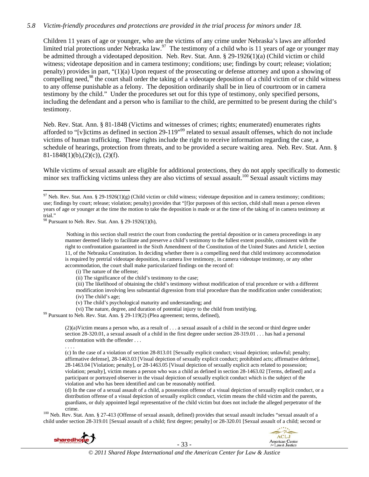#### *5.8 Victim-friendly procedures and protections are provided in the trial process for minors under 18.*

Children 11 years of age or younger, who are the victims of any crime under Nebraska's laws are afforded limited trial protections under Nebraska law.<sup>97</sup> The testimony of a child who is 11 years of age or younger may be admitted through a videotaped deposition. Neb. Rev. Stat. Ann. § 29-1926(1)(a) (Child victim or child witness; videotape deposition and in camera testimony; conditions; use; findings by court; release; violation; penalty) provides in part, "(1)(a) Upon request of the prosecuting or defense attorney and upon a showing of compelling need,<sup>98</sup> the court shall order the taking of a videotape deposition of a child victim of or child witness to any offense punishable as a felony. The deposition ordinarily shall be in lieu of courtroom or in camera testimony by the child." Under the procedures set out for this type of testimony, only specified persons, including the defendant and a person who is familiar to the child, are permitted to be present during the child's testimony.

Neb. Rev. Stat. Ann. § 81-1848 (Victims and witnesses of crimes; rights; enumerated) enumerates rights afforded to "[v]ictims as defined in section 29-119"<sup>99</sup> related to sexual assault offenses, which do not include victims of human trafficking. These rights include the right to receive information regarding the case, a schedule of hearings, protection from threats, and to be provided a secure waiting area. Neb. Rev. Stat. Ann. §  $81-1848(1)(b),(2)(c))$ , (2)(f).

While victims of sexual assault are eligible for additional protections, they do not apply specifically to domestic minor sex trafficking victims unless they are also victims of sexual assault.<sup>100</sup> Sexual assault victims may

(ii) The significance of the child's testimony to the case;

(iii) The likelihood of obtaining the child's testimony without modification of trial procedure or with a different modification involving less substantial digression from trial procedure than the modification under consideration; (iv) The child's age;

- (v) The child's psychological maturity and understanding; and
- (vi) The nature, degree, and duration of potential injury to the child from testifying.<br><sup>99</sup> Pursuant to Neb. Rev. Stat. Ann. § 29-119(2) (Plea agreement; terms, defined),

 $(2)(a)$ Victim means a person who, as a result of . . . a sexual assault of a child in the second or third degree under section 28-320.01, a sexual assault of a child in the first degree under section 28-319.01 . . . has had a personal confrontation with the offender . . .

. . . .

(c) In the case of a violation of section 28-813.01 [Sexually explicit conduct; visual depiction; unlawful; penalty; affirmative defense], 28-1463.03 [Visual depiction of sexually explicit conduct; prohibited acts; affirmative defense], 28-1463.04 [Violation; penalty], or 28-1463.05 [Visual depiction of sexually explicit acts related to possession; violation; penalty], victim means a person who was a child as defined in section 28-1463.02 [Terms, defined] and a participant or portrayed observer in the visual depiction of sexually explicit conduct which is the subject of the violation and who has been identified and can be reasonably notified.

(d) In the case of a sexual assault of a child, a possession offense of a visual depiction of sexually explicit conduct, or a distribution offense of a visual depiction of sexually explicit conduct, victim means the child victim and the parents, guardians, or duly appointed legal representative of the child victim but does not include the alleged perpetrator of the

crime. 100 Neb. Rev. Stat. Ann. § 27-413 (Offense of sexual assault, defined) provides that sexual assault includes "sexual assault of a child under section 28-319.01 [Sexual assault of a child; first degree; penalty] or 28-320.01 [Sexual assault of a child; second or



- 33 -



 <sup>97</sup> Neb. Rev. Stat. Ann. § 29-1926(1)(g) (Child victim or child witness; videotape deposition and in camera testimony; conditions; use; findings by court; release; violation; penalty) provides that "[f]or purposes of this section, child shall mean a person eleven years of age or younger at the time the motion to take the deposition is made or at the time of the taking of in camera testimony at trial."

 $98$  Pursuant to Neb. Rev. Stat. Ann. § 29-1926(1)(h),

Nothing in this section shall restrict the court from conducting the pretrial deposition or in camera proceedings in any manner deemed likely to facilitate and preserve a child's testimony to the fullest extent possible, consistent with the right to confrontation guaranteed in the Sixth Amendment of the Constitution of the United States and Article I, section 11, of the Nebraska Constitution. In deciding whether there is a compelling need that child testimony accommodation is required by pretrial videotape deposition, in camera live testimony, in camera videotape testimony, or any other accommodation, the court shall make particularized findings on the record of:

<sup>(</sup>i) The nature of the offense;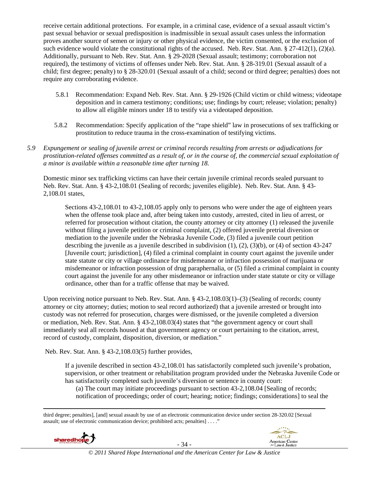receive certain additional protections. For example, in a criminal case, evidence of a sexual assault victim's past sexual behavior or sexual predisposition is inadmissible in sexual assault cases unless the information proves another source of semen or injury or other physical evidence, the victim consented, or the exclusion of such evidence would violate the constitutional rights of the accused. Neb. Rev. Stat. Ann. § 27-412(1), (2)(a). Additionally, pursuant to Neb. Rev. Stat. Ann. § 29-2028 (Sexual assault; testimony; corroboration not required), the testimony of victims of offenses under Neb. Rev. Stat. Ann. § 28-319.01 (Sexual assault of a child; first degree; penalty) to § 28-320.01 (Sexual assault of a child; second or third degree; penalties) does not require any corroborating evidence.

- 5.8.1 Recommendation: Expand Neb. Rev. Stat. Ann. § 29-1926 (Child victim or child witness; videotape deposition and in camera testimony; conditions; use; findings by court; release; violation; penalty) to allow all eligible minors under 18 to testify via a videotaped deposition.
- 5.8.2 Recommendation: Specify application of the "rape shield" law in prosecutions of sex trafficking or prostitution to reduce trauma in the cross-examination of testifying victims.
- *5.9 Expungement or sealing of juvenile arrest or criminal records resulting from arrests or adjudications for prostitution-related offenses committed as a result of, or in the course of, the commercial sexual exploitation of a minor is available within a reasonable time after turning 18.*

Domestic minor sex trafficking victims can have their certain juvenile criminal records sealed pursuant to Neb. Rev. Stat. Ann. § 43-2,108.01 (Sealing of records; juveniles eligible). Neb. Rev. Stat. Ann. § 43- 2,108.01 states,

Sections 43-2,108.01 to 43-2,108.05 apply only to persons who were under the age of eighteen years when the offense took place and, after being taken into custody, arrested, cited in lieu of arrest, or referred for prosecution without citation, the county attorney or city attorney (1) released the juvenile without filing a juvenile petition or criminal complaint, (2) offered juvenile pretrial diversion or mediation to the juvenile under the Nebraska Juvenile Code, (3) filed a juvenile court petition describing the juvenile as a juvenile described in subdivision (1), (2), (3)(b), or (4) of section 43-247 [Juvenile court; jurisdiction], (4) filed a criminal complaint in county court against the juvenile under state statute or city or village ordinance for misdemeanor or infraction possession of marijuana or misdemeanor or infraction possession of drug paraphernalia, or (5) filed a criminal complaint in county court against the juvenile for any other misdemeanor or infraction under state statute or city or village ordinance, other than for a traffic offense that may be waived.

Upon receiving notice pursuant to Neb. Rev. Stat. Ann. § 43-2,108.03(1)–(3) (Sealing of records; county attorney or city attorney; duties; motion to seal record authorized) that a juvenile arrested or brought into custody was not referred for prosecution, charges were dismissed, or the juvenile completed a diversion or mediation, Neb. Rev. Stat. Ann. § 43-2,108.03(4) states that "the government agency or court shall immediately seal all records housed at that government agency or court pertaining to the citation, arrest, record of custody, complaint, disposition, diversion, or mediation."

Neb. Rev. Stat. Ann. § 43-2,108.03(5) further provides,

If a juvenile described in section 43-2,108.01 has satisfactorily completed such juvenile's probation, supervision, or other treatment or rehabilitation program provided under the Nebraska Juvenile Code or has satisfactorily completed such juvenile's diversion or sentence in county court:

(a) The court may initiate proceedings pursuant to section 43-2,108.04 [Sealing of records; notification of proceedings; order of court; hearing; notice; findings; considerations] to seal the

third degree; penalties], [and] sexual assault by use of an electronic communication device under section 28-320.02 [Sexual assault; use of electronic communication device; prohibited acts; penalties] . . . ."



- 34 -

<u> Andrewski politika (za obrazu pod predsjednika u predsjednika u predsjednika u predsjednika (za obrazu pod p</u>

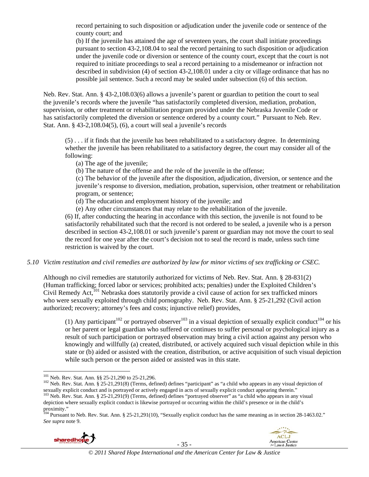record pertaining to such disposition or adjudication under the juvenile code or sentence of the county court; and

(b) If the juvenile has attained the age of seventeen years, the court shall initiate proceedings pursuant to section 43-2,108.04 to seal the record pertaining to such disposition or adjudication under the juvenile code or diversion or sentence of the county court, except that the court is not required to initiate proceedings to seal a record pertaining to a misdemeanor or infraction not described in subdivision (4) of section 43-2,108.01 under a city or village ordinance that has no possible jail sentence. Such a record may be sealed under subsection (6) of this section.

Neb. Rev. Stat. Ann. § 43-2,108.03(6) allows a juvenile's parent or guardian to petition the court to seal the juvenile's records where the juvenile "has satisfactorily completed diversion, mediation, probation, supervision, or other treatment or rehabilitation program provided under the Nebraska Juvenile Code or has satisfactorily completed the diversion or sentence ordered by a county court." Pursuant to Neb. Rev. Stat. Ann. § 43-2,108.04(5), (6), a court will seal a juvenile's records

(5) . . . if it finds that the juvenile has been rehabilitated to a satisfactory degree. In determining whether the juvenile has been rehabilitated to a satisfactory degree, the court may consider all of the following:

(a) The age of the juvenile;

(b) The nature of the offense and the role of the juvenile in the offense;

(c) The behavior of the juvenile after the disposition, adjudication, diversion, or sentence and the juvenile's response to diversion, mediation, probation, supervision, other treatment or rehabilitation program, or sentence;

(d) The education and employment history of the juvenile; and

(e) Any other circumstances that may relate to the rehabilitation of the juvenile.

(6) If, after conducting the hearing in accordance with this section, the juvenile is not found to be satisfactorily rehabilitated such that the record is not ordered to be sealed, a juvenile who is a person described in section 43-2,108.01 or such juvenile's parent or guardian may not move the court to seal the record for one year after the court's decision not to seal the record is made, unless such time restriction is waived by the court.

# *5.10 Victim restitution and civil remedies are authorized by law for minor victims of sex trafficking or CSEC.*

Although no civil remedies are statutorily authorized for victims of Neb. Rev. Stat. Ann. § 28-831(2) (Human trafficking; forced labor or services; prohibited acts; penalties) under the Exploited Children's Civil Remedy Act,<sup>101</sup> Nebraska does statutorily provide a civil cause of action for sex trafficked minors who were sexually exploited through child pornography. Neb. Rev. Stat. Ann. § 25-21,292 (Civil action authorized; recovery; attorney's fees and costs; injunctive relief) provides,

(1) Any participant<sup>102</sup> or portrayed observer<sup>103</sup> in a visual depiction of sexually explicit conduct<sup>104</sup> or his or her parent or legal guardian who suffered or continues to suffer personal or psychological injury as a result of such participation or portrayed observation may bring a civil action against any person who knowingly and willfully (a) created, distributed, or actively acquired such visual depiction while in this state or (b) aided or assisted with the creation, distribution, or active acquisition of such visual depiction while such person or the person aided or assisted was in this state.

 $104$  Pursuant to Neb. Rev. Stat. Ann. § 25-21,291(10), "Sexually explicit conduct has the same meaning as in section 28-1463.02." *See supra* note 9.



- 35 -



<sup>&</sup>lt;sup>101</sup> Neb. Rev. Stat. Ann. §§ 25-21,290 to 25-21,296.

 $102$  Neb. Rev. Stat. Ann. § 25-21,291(8) (Terms, defined) defines "participant" as "a child who appears in any visual depiction of sexually explicit conduct and is portrayed or actively engaged in acts of sexually explicit conduct appearing therein."<br><sup>103</sup> Neb. Rev. Stat. Ann. § 25-21,291(9) (Terms, defined) defines "portrayed observer" as "a child wh

depiction where sexually explicit conduct is likewise portrayed or occurring within the child's presence or in the child's proximity."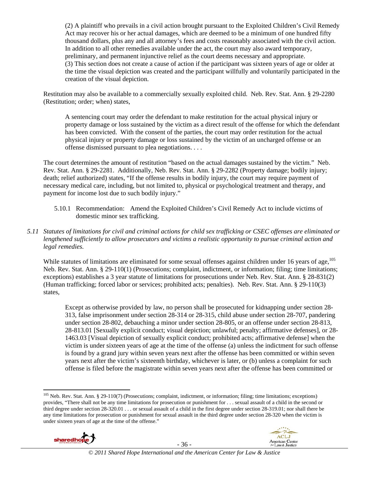(2) A plaintiff who prevails in a civil action brought pursuant to the Exploited Children's Civil Remedy Act may recover his or her actual damages, which are deemed to be a minimum of one hundred fifty thousand dollars, plus any and all attorney's fees and costs reasonably associated with the civil action. In addition to all other remedies available under the act, the court may also award temporary, preliminary, and permanent injunctive relief as the court deems necessary and appropriate. (3) This section does not create a cause of action if the participant was sixteen years of age or older at the time the visual depiction was created and the participant willfully and voluntarily participated in the creation of the visual depiction.

Restitution may also be available to a commercially sexually exploited child. Neb. Rev. Stat. Ann. § 29-2280 (Restitution; order; when) states,

A sentencing court may order the defendant to make restitution for the actual physical injury or property damage or loss sustained by the victim as a direct result of the offense for which the defendant has been convicted. With the consent of the parties, the court may order restitution for the actual physical injury or property damage or loss sustained by the victim of an uncharged offense or an offense dismissed pursuant to plea negotiations. . . .

The court determines the amount of restitution "based on the actual damages sustained by the victim." Neb. Rev. Stat. Ann. § 29-2281. Additionally, Neb. Rev. Stat. Ann. § 29-2282 (Property damage; bodily injury; death; relief authorized) states, "If the offense results in bodily injury, the court may require payment of necessary medical care, including, but not limited to, physical or psychological treatment and therapy, and payment for income lost due to such bodily injury."

5.10.1 Recommendation: Amend the Exploited Children's Civil Remedy Act to include victims of domestic minor sex trafficking.

# *5.11 Statutes of limitations for civil and criminal actions for child sex trafficking or CSEC offenses are eliminated or lengthened sufficiently to allow prosecutors and victims a realistic opportunity to pursue criminal action and legal remedies.*

While statutes of limitations are eliminated for some sexual offenses against children under 16 years of age,  $^{105}$ Neb. Rev. Stat. Ann. § 29-110(1) (Prosecutions; complaint, indictment, or information; filing; time limitations; exceptions) establishes a 3 year statute of limitations for prosecutions under Neb. Rev. Stat. Ann. § 28-831(2) (Human trafficking; forced labor or services; prohibited acts; penalties). Neb. Rev. Stat. Ann. § 29-110(3) states,

Except as otherwise provided by law, no person shall be prosecuted for kidnapping under section 28- 313, false imprisonment under section 28-314 or 28-315, child abuse under section 28-707, pandering under section 28-802, debauching a minor under section 28-805, or an offense under section 28-813, 28-813.01 [Sexually explicit conduct; visual depiction; unlawful; penalty; affirmative defenses], or 28- 1463.03 [Visual depiction of sexually explicit conduct; prohibited acts; affirmative defense] when the victim is under sixteen years of age at the time of the offense (a) unless the indictment for such offense is found by a grand jury within seven years next after the offense has been committed or within seven years next after the victim's sixteenth birthday, whichever is later, or (b) unless a complaint for such offense is filed before the magistrate within seven years next after the offense has been committed or

  $105$  Neb. Rev. Stat. Ann. § 29-110(7) (Prosecutions; complaint, indictment, or information; filing; time limitations; exceptions) provides, "There shall not be any time limitations for prosecution or punishment for . . . sexual assault of a child in the second or third degree under section 28-320.01 . . . or sexual assault of a child in the first degree under section 28-319.01; nor shall there be any time limitations for prosecution or punishment for sexual assault in the third degree under section 28-320 when the victim is under sixteen years of age at the time of the offense."



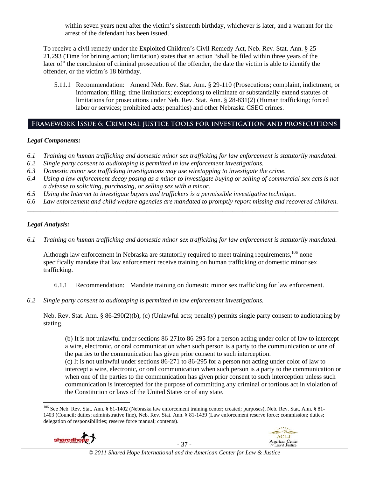within seven years next after the victim's sixteenth birthday, whichever is later, and a warrant for the arrest of the defendant has been issued.

To receive a civil remedy under the Exploited Children's Civil Remedy Act, Neb. Rev. Stat. Ann. § 25- 21,293 (Time for brining action; limitation) states that an action "shall be filed within three years of the later of" the conclusion of criminal prosecution of the offender, the date the victim is able to identify the offender, or the victim's 18 birthday.

5.11.1 Recommendation: Amend Neb. Rev. Stat. Ann. § 29-110 (Prosecutions; complaint, indictment, or information; filing; time limitations; exceptions) to eliminate or substantially extend statutes of limitations for prosecutions under Neb. Rev. Stat. Ann. § 28-831(2) (Human trafficking; forced labor or services; prohibited acts; penalties) and other Nebraska CSEC crimes.

# **Framework Issue 6: Criminal justice tools for investigation and prosecutions**

#### *Legal Components:*

- *6.1 Training on human trafficking and domestic minor sex trafficking for law enforcement is statutorily mandated.*
- *6.2 Single party consent to audiotaping is permitted in law enforcement investigations.*
- *6.3 Domestic minor sex trafficking investigations may use wiretapping to investigate the crime.*
- *6.4 Using a law enforcement decoy posing as a minor to investigate buying or selling of commercial sex acts is not a defense to soliciting, purchasing, or selling sex with a minor.*
- *6.5 Using the Internet to investigate buyers and traffickers is a permissible investigative technique.*
- *6.6 Law enforcement and child welfare agencies are mandated to promptly report missing and recovered children. \_\_\_\_\_\_\_\_\_\_\_\_\_\_\_\_\_\_\_\_\_\_\_\_\_\_\_\_\_\_\_\_\_\_\_\_\_\_\_\_\_\_\_\_\_\_\_\_\_\_\_\_\_\_\_\_\_\_\_\_\_\_\_\_\_\_\_\_\_\_\_\_\_\_\_\_\_\_\_\_\_\_\_\_\_\_\_\_\_\_\_\_\_\_*

#### *Legal Analysis:*

*6.1 Training on human trafficking and domestic minor sex trafficking for law enforcement is statutorily mandated.* 

Although law enforcement in Nebraska are statutorily required to meet training requirements,<sup>106</sup> none specifically mandate that law enforcement receive training on human trafficking or domestic minor sex trafficking.

- 6.1.1 Recommendation: Mandate training on domestic minor sex trafficking for law enforcement.
- *6.2 Single party consent to audiotaping is permitted in law enforcement investigations.*

Neb. Rev. Stat. Ann. § 86-290(2)(b), (c) (Unlawful acts; penalty) permits single party consent to audiotaping by stating,

(b) It is not unlawful under sections 86-271to 86-295 for a person acting under color of law to intercept a wire, electronic, or oral communication when such person is a party to the communication or one of the parties to the communication has given prior consent to such interception.

(c) It is not unlawful under sections 86-271 to 86-295 for a person not acting under color of law to intercept a wire, electronic, or oral communication when such person is a party to the communication or when one of the parties to the communication has given prior consent to such interception unless such communication is intercepted for the purpose of committing any criminal or tortious act in violation of the Constitution or laws of the United States or of any state.

<sup>106</sup> See Neb. Rev. Stat. Ann. § 81-1402 (Nebraska law enforcement training center; created; purposes), Neb. Rev. Stat. Ann. § 81- 1403 (Council; duties; administrative fine), Neb. Rev. Stat. Ann. § 81-1439 (Law enforcement reserve force; commission; duties; delegation of responsibilities; reserve force manual; contents).



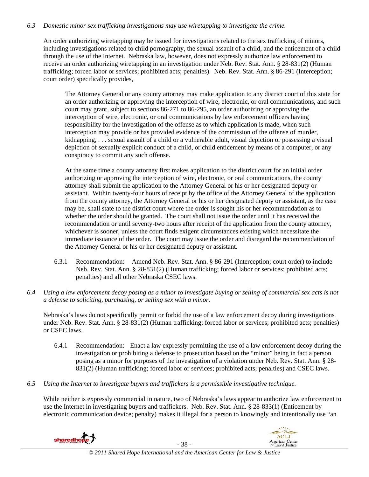# *6.3 Domestic minor sex trafficking investigations may use wiretapping to investigate the crime.*

An order authorizing wiretapping may be issued for investigations related to the sex trafficking of minors, including investigations related to child pornography, the sexual assault of a child, and the enticement of a child through the use of the Internet. Nebraska law, however, does not expressly authorize law enforcement to receive an order authorizing wiretapping in an investigation under Neb. Rev. Stat. Ann. § 28-831(2) (Human trafficking; forced labor or services; prohibited acts; penalties). Neb. Rev. Stat. Ann. § 86-291 (Interception; court order) specifically provides,

The Attorney General or any county attorney may make application to any district court of this state for an order authorizing or approving the interception of wire, electronic, or oral communications, and such court may grant, subject to sections 86-271 to 86-295, an order authorizing or approving the interception of wire, electronic, or oral communications by law enforcement officers having responsibility for the investigation of the offense as to which application is made, when such interception may provide or has provided evidence of the commission of the offense of murder, kidnapping, . . . sexual assault of a child or a vulnerable adult, visual depiction or possessing a visual depiction of sexually explicit conduct of a child, or child enticement by means of a computer, or any conspiracy to commit any such offense.

At the same time a county attorney first makes application to the district court for an initial order authorizing or approving the interception of wire, electronic, or oral communications, the county attorney shall submit the application to the Attorney General or his or her designated deputy or assistant. Within twenty-four hours of receipt by the office of the Attorney General of the application from the county attorney, the Attorney General or his or her designated deputy or assistant, as the case may be, shall state to the district court where the order is sought his or her recommendation as to whether the order should be granted. The court shall not issue the order until it has received the recommendation or until seventy-two hours after receipt of the application from the county attorney, whichever is sooner, unless the court finds exigent circumstances existing which necessitate the immediate issuance of the order. The court may issue the order and disregard the recommendation of the Attorney General or his or her designated deputy or assistant.

- 6.3.1 Recommendation: Amend Neb. Rev. Stat. Ann. § 86-291 (Interception; court order) to include Neb. Rev. Stat. Ann. § 28-831(2) (Human trafficking; forced labor or services; prohibited acts; penalties) and all other Nebraska CSEC laws.
- *6.4 Using a law enforcement decoy posing as a minor to investigate buying or selling of commercial sex acts is not a defense to soliciting, purchasing, or selling sex with a minor.*

Nebraska's laws do not specifically permit or forbid the use of a law enforcement decoy during investigations under Neb. Rev. Stat. Ann. § 28-831(2) (Human trafficking; forced labor or services; prohibited acts; penalties) or CSEC laws.

- 6.4.1 Recommendation: Enact a law expressly permitting the use of a law enforcement decoy during the investigation or prohibiting a defense to prosecution based on the "minor" being in fact a person posing as a minor for purposes of the investigation of a violation under Neb. Rev. Stat. Ann. § 28- 831(2) (Human trafficking; forced labor or services; prohibited acts; penalties) and CSEC laws.
- *6.5 Using the Internet to investigate buyers and traffickers is a permissible investigative technique.*

While neither is expressly commercial in nature, two of Nebraska's laws appear to authorize law enforcement to use the Internet in investigating buyers and traffickers. Neb. Rev. Stat. Ann. § 28-833(1) (Enticement by electronic communication device; penalty) makes it illegal for a person to knowingly and intentionally use "an

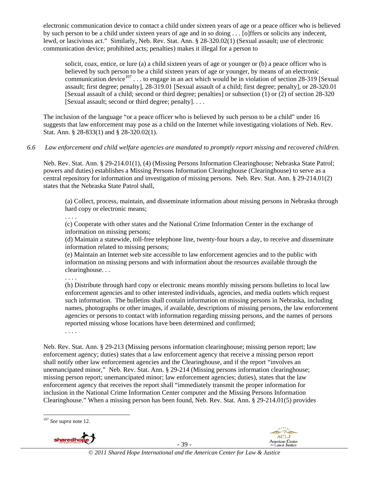electronic communication device to contact a child under sixteen years of age or a peace officer who is believed by such person to be a child under sixteen years of age and in so doing . . . [o]ffers or solicits any indecent, lewd, or lascivious act." Similarly, Neb. Rev. Stat. Ann. § 28-320.02(1) (Sexual assault; use of electronic communication device; prohibited acts; penalties) makes it illegal for a person to

solicit, coax, entice, or lure (a) a child sixteen years of age or younger or (b) a peace officer who is believed by such person to be a child sixteen years of age or younger, by means of an electronic communication device<sup>107</sup> . . . to engage in an act which would be in violation of section 28-319 [Sexual assault; first degree; penalty], 28-319.01 [Sexual assault of a child; first degree; penalty], or 28-320.01 [Sexual assault of a child; second or third degree; penalties] or subsection (1) or (2) of section 28-320 [Sexual assault; second or third degree; penalty]. . . .

The inclusion of the language "or a peace officer who is believed by such person to be a child" under 16 suggests that law enforcement may pose as a child on the Internet while investigating violations of Neb. Rev. Stat. Ann. § 28-833(1) and § 28-320.02(1).

#### *6.6 Law enforcement and child welfare agencies are mandated to promptly report missing and recovered children.*

Neb. Rev. Stat. Ann. § 29-214.01(1), (4) (Missing Persons Information Clearinghouse; Nebraska State Patrol; powers and duties) establishes a Missing Persons Information Clearinghouse (Clearinghouse) to serve as a central repository for information and investigation of missing persons. Neb. Rev. Stat. Ann. § 29-214.01(2) states that the Nebraska State Patrol shall,

(a) Collect, process, maintain, and disseminate information about missing persons in Nebraska through hard copy or electronic means;

(c) Cooperate with other states and the National Crime Information Center in the exchange of information on missing persons;

(d) Maintain a statewide, toll-free telephone line, twenty-four hours a day, to receive and disseminate information related to missing persons;

(e) Maintain an Internet web site accessible to law enforcement agencies and to the public with information on missing persons and with information about the resources available through the clearinghouse. . .

. . . .

. . . .

(h) Distribute through hard copy or electronic means monthly missing persons bulletins to local law enforcement agencies and to other interested individuals, agencies, and media outlets which request such information. The bulletins shall contain information on missing persons in Nebraska, including names, photographs or other images, if available, descriptions of missing persons, the law enforcement agencies or persons to contact with information regarding missing persons, and the names of persons reported missing whose locations have been determined and confirmed;

. . . .

Neb. Rev. Stat. Ann. § 29-213 (Missing persons information clearinghouse; missing person report; law enforcement agency; duties) states that a law enforcement agency that receive a missing person report shall notify other law enforcement agencies and the Clearinghouse, and if the report "involves an unemancipated minor," Neb. Rev. Stat. Ann. § 29-214 (Missing persons information clearinghouse; missing person report; unemancipated minor; law enforcement agencies; duties), states that the law enforcement agency that receives the report shall "immediately transmit the proper information for inclusion in the National Crime Information Center computer and the Missing Persons Information Clearinghouse." When a missing person has been found, Neb. Rev. Stat. Ann. § 29-214.01(5) provides

 <sup>107</sup> *See supra* note 12.



- 39 -